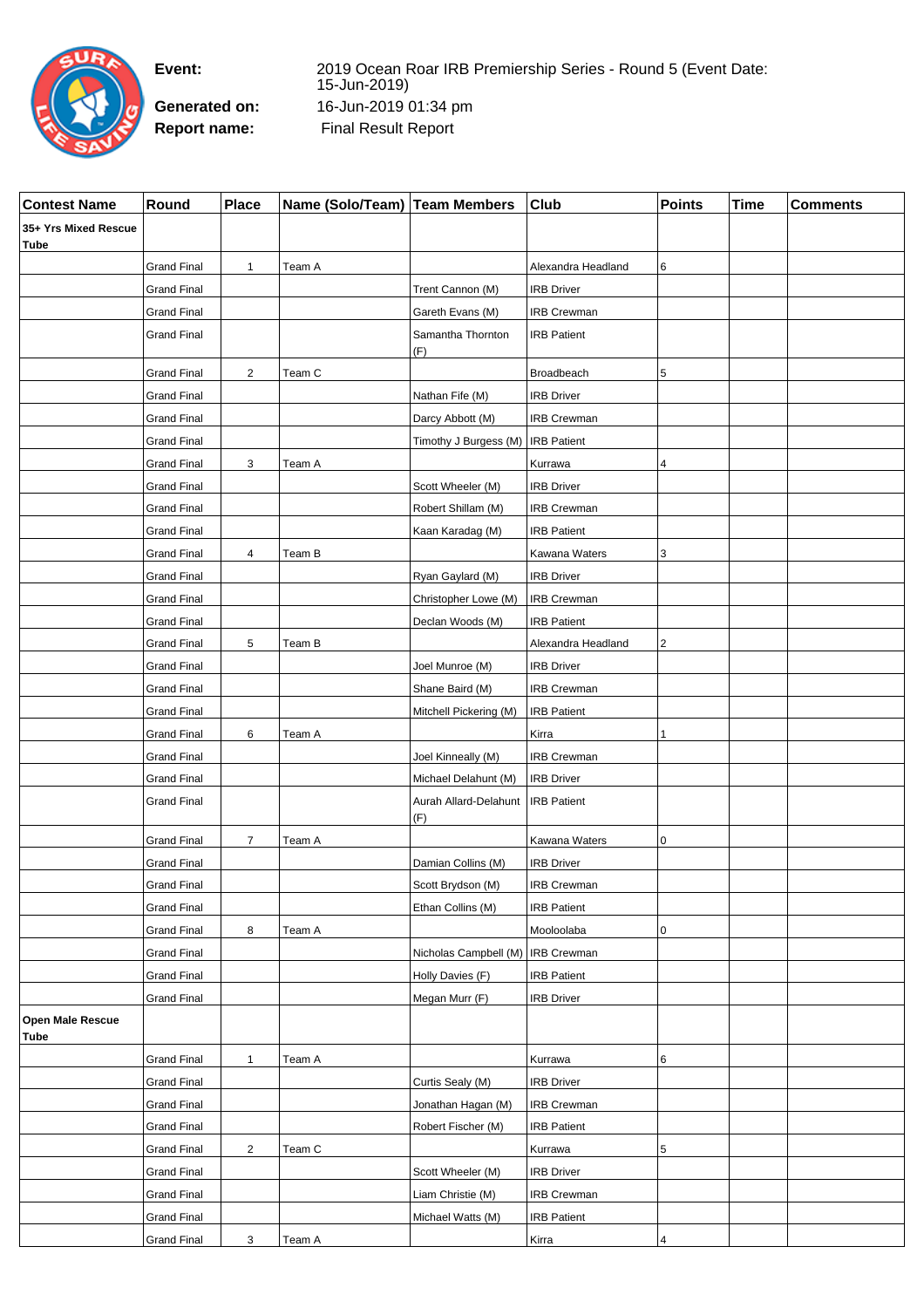

**Event:** 2019 Ocean Roar IRB Premiership Series - Round 5 (Event Date: 15-Jun-2019) **Generated on:** 16-Jun-2019 01:34 pm **Report name:** Final Result Report

| <b>Contest Name</b>          | Round              | Place          | Name (Solo/Team) Team Members |                                     | <b>Club</b>        | <b>Points</b>           | <b>Time</b> | <b>Comments</b> |
|------------------------------|--------------------|----------------|-------------------------------|-------------------------------------|--------------------|-------------------------|-------------|-----------------|
| 35+ Yrs Mixed Rescue<br>Tube |                    |                |                               |                                     |                    |                         |             |                 |
|                              | <b>Grand Final</b> | 1              | Team A                        |                                     | Alexandra Headland | 6                       |             |                 |
|                              | <b>Grand Final</b> |                |                               | Trent Cannon (M)                    | <b>IRB Driver</b>  |                         |             |                 |
|                              | <b>Grand Final</b> |                |                               | Gareth Evans (M)                    | <b>IRB Crewman</b> |                         |             |                 |
|                              | <b>Grand Final</b> |                |                               | Samantha Thornton<br>(F)            | <b>IRB Patient</b> |                         |             |                 |
|                              | <b>Grand Final</b> | $\overline{2}$ | Team C                        |                                     | Broadbeach         | 5                       |             |                 |
|                              | <b>Grand Final</b> |                |                               | Nathan Fife (M)                     | <b>IRB Driver</b>  |                         |             |                 |
|                              | <b>Grand Final</b> |                |                               | Darcy Abbott (M)                    | <b>IRB Crewman</b> |                         |             |                 |
|                              | <b>Grand Final</b> |                |                               | Timothy J Burgess (M)               | <b>IRB Patient</b> |                         |             |                 |
|                              | <b>Grand Final</b> | 3              | Team A                        |                                     | Kurrawa            | 4                       |             |                 |
|                              | <b>Grand Final</b> |                |                               | Scott Wheeler (M)                   | <b>IRB Driver</b>  |                         |             |                 |
|                              | <b>Grand Final</b> |                |                               | Robert Shillam (M)                  | <b>IRB Crewman</b> |                         |             |                 |
|                              | <b>Grand Final</b> |                |                               | Kaan Karadag (M)                    | <b>IRB Patient</b> |                         |             |                 |
|                              | <b>Grand Final</b> | 4              | Team B                        |                                     | Kawana Waters      | 3                       |             |                 |
|                              | <b>Grand Final</b> |                |                               | Ryan Gaylard (M)                    | <b>IRB Driver</b>  |                         |             |                 |
|                              | <b>Grand Final</b> |                |                               | Christopher Lowe (M)                | <b>IRB Crewman</b> |                         |             |                 |
|                              | <b>Grand Final</b> |                |                               | Declan Woods (M)                    | <b>IRB Patient</b> |                         |             |                 |
|                              | <b>Grand Final</b> | 5              | Team B                        |                                     | Alexandra Headland | $\overline{\mathbf{c}}$ |             |                 |
|                              | <b>Grand Final</b> |                |                               | Joel Munroe (M)                     | <b>IRB Driver</b>  |                         |             |                 |
|                              | <b>Grand Final</b> |                |                               | Shane Baird (M)                     | <b>IRB Crewman</b> |                         |             |                 |
|                              | <b>Grand Final</b> |                |                               | Mitchell Pickering (M)              | <b>IRB Patient</b> |                         |             |                 |
|                              | <b>Grand Final</b> | 6              | Team A                        |                                     | Kirra              | 1                       |             |                 |
|                              | <b>Grand Final</b> |                |                               | Joel Kinneally (M)                  | IRB Crewman        |                         |             |                 |
|                              | <b>Grand Final</b> |                |                               | Michael Delahunt (M)                | <b>IRB Driver</b>  |                         |             |                 |
|                              | <b>Grand Final</b> |                |                               | Aurah Allard-Delahunt               | <b>IRB Patient</b> |                         |             |                 |
|                              |                    |                |                               | (F)                                 |                    |                         |             |                 |
|                              | <b>Grand Final</b> | $\overline{7}$ | Team A                        |                                     | Kawana Waters      | 0                       |             |                 |
|                              | <b>Grand Final</b> |                |                               | Damian Collins (M)                  | <b>IRB Driver</b>  |                         |             |                 |
|                              | <b>Grand Final</b> |                |                               | Scott Brydson (M)                   | <b>IRB Crewman</b> |                         |             |                 |
|                              | <b>Grand Final</b> |                |                               | Ethan Collins (M)                   | <b>IRB Patient</b> |                         |             |                 |
|                              | <b>Grand Final</b> | 8              | Team A                        |                                     | Mooloolaba         | 0                       |             |                 |
|                              | <b>Grand Final</b> |                |                               | Nicholas Campbell (M)   IRB Crewman |                    |                         |             |                 |
|                              | <b>Grand Final</b> |                |                               | Holly Davies (F)                    | <b>IRB Patient</b> |                         |             |                 |
|                              | <b>Grand Final</b> |                |                               | Megan Murr (F)                      | <b>IRB Driver</b>  |                         |             |                 |
| Open Male Rescue<br>Tube     |                    |                |                               |                                     |                    |                         |             |                 |
|                              | <b>Grand Final</b> | 1              | Team A                        |                                     | Kurrawa            | 6                       |             |                 |
|                              | <b>Grand Final</b> |                |                               | Curtis Sealy (M)                    | <b>IRB Driver</b>  |                         |             |                 |
|                              | <b>Grand Final</b> |                |                               | Jonathan Hagan (M)                  | IRB Crewman        |                         |             |                 |
|                              | <b>Grand Final</b> |                |                               | Robert Fischer (M)                  | <b>IRB Patient</b> |                         |             |                 |
|                              | <b>Grand Final</b> | $\overline{2}$ | Team C                        |                                     | Kurrawa            | 5                       |             |                 |
|                              | <b>Grand Final</b> |                |                               | Scott Wheeler (M)                   | <b>IRB Driver</b>  |                         |             |                 |
|                              | <b>Grand Final</b> |                |                               | Liam Christie (M)                   | IRB Crewman        |                         |             |                 |
|                              | <b>Grand Final</b> |                |                               | Michael Watts (M)                   | <b>IRB Patient</b> |                         |             |                 |
|                              | <b>Grand Final</b> | 3              | Team A                        |                                     | Kirra              | $\sqrt{4}$              |             |                 |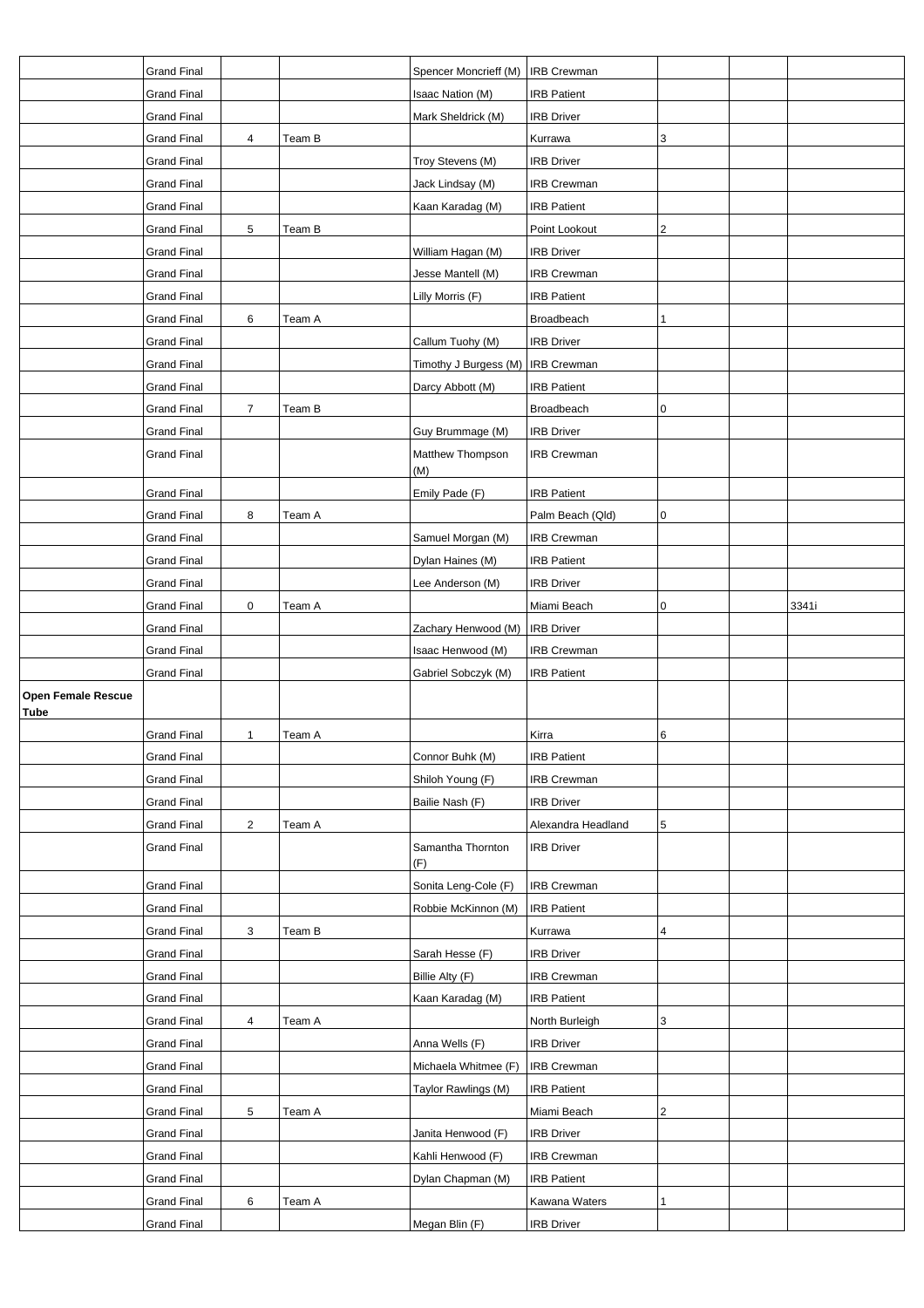|                                          | <b>Grand Final</b> |                |        | Spencer Moncrieff (M)               | <b>IRB Crewman</b> |   |       |
|------------------------------------------|--------------------|----------------|--------|-------------------------------------|--------------------|---|-------|
|                                          | Grand Final        |                |        | Isaac Nation (M)                    | <b>IRB Patient</b> |   |       |
|                                          | <b>Grand Final</b> |                |        | Mark Sheldrick (M)                  | <b>IRB Driver</b>  |   |       |
|                                          | <b>Grand Final</b> | 4              | Team B |                                     | Kurrawa            | 3 |       |
|                                          | Grand Final        |                |        | Troy Stevens (M)                    | <b>IRB Driver</b>  |   |       |
|                                          | <b>Grand Final</b> |                |        | Jack Lindsay (M)                    | <b>IRB Crewman</b> |   |       |
|                                          | Grand Final        |                |        | Kaan Karadag (M)                    | <b>IRB Patient</b> |   |       |
|                                          | <b>Grand Final</b> | 5              | Team B |                                     | Point Lookout      | 2 |       |
|                                          | <b>Grand Final</b> |                |        | William Hagan (M)                   | <b>IRB Driver</b>  |   |       |
|                                          | <b>Grand Final</b> |                |        | Jesse Mantell (M)                   | <b>IRB Crewman</b> |   |       |
|                                          | Grand Final        |                |        | Lilly Morris (F)                    | <b>IRB Patient</b> |   |       |
|                                          | <b>Grand Final</b> | 6              | Team A |                                     | Broadbeach         | 1 |       |
|                                          | <b>Grand Final</b> |                |        | Callum Tuohy (M)                    | <b>IRB Driver</b>  |   |       |
|                                          | Grand Final        |                |        | Timothy J Burgess (M)   IRB Crewman |                    |   |       |
|                                          | <b>Grand Final</b> |                |        | Darcy Abbott (M)                    | <b>IRB Patient</b> |   |       |
|                                          | <b>Grand Final</b> | $\overline{7}$ | Team B |                                     | Broadbeach         | 0 |       |
|                                          | Grand Final        |                |        | Guy Brummage (M)                    | <b>IRB Driver</b>  |   |       |
|                                          | <b>Grand Final</b> |                |        | Matthew Thompson                    | <b>IRB Crewman</b> |   |       |
|                                          |                    |                |        | (M)                                 |                    |   |       |
|                                          | <b>Grand Final</b> |                |        | Emily Pade (F)                      | <b>IRB Patient</b> |   |       |
|                                          | Grand Final        | 8              | Team A |                                     | Palm Beach (Qld)   | 0 |       |
|                                          | <b>Grand Final</b> |                |        | Samuel Morgan (M)                   | <b>IRB Crewman</b> |   |       |
|                                          | <b>Grand Final</b> |                |        | Dylan Haines (M)                    | <b>IRB Patient</b> |   |       |
|                                          | <b>Grand Final</b> |                |        | Lee Anderson (M)                    | <b>IRB Driver</b>  |   |       |
|                                          | <b>Grand Final</b> | $\pmb{0}$      | Team A |                                     | Miami Beach        | 0 | 3341i |
|                                          | Grand Final        |                |        | Zachary Henwood (M)                 | <b>IRB Driver</b>  |   |       |
|                                          | <b>Grand Final</b> |                |        | Isaac Henwood (M)                   | IRB Crewman        |   |       |
|                                          | <b>Grand Final</b> |                |        | Gabriel Sobczyk (M)                 | <b>IRB Patient</b> |   |       |
| <b>Open Female Rescue</b><br><b>Tube</b> |                    |                |        |                                     |                    |   |       |
|                                          | <b>Grand Final</b> | $\mathbf{1}$   | Team A |                                     | Kirra              | 6 |       |
|                                          | Grand Final        |                |        | Connor Buhk (M)                     | <b>IRB Patient</b> |   |       |
|                                          | <b>Grand Final</b> |                |        | Shiloh Young (F)                    | <b>IRB Crewman</b> |   |       |
|                                          | <b>Grand Final</b> |                |        |                                     |                    |   |       |
|                                          | <b>Grand Final</b> |                |        | Bailie Nash (F)                     | <b>IRB Driver</b>  |   |       |
|                                          |                    | $\sqrt{2}$     | Team A |                                     | Alexandra Headland | 5 |       |
|                                          | <b>Grand Final</b> |                |        | Samantha Thornton<br>(F)            | <b>IRB Driver</b>  |   |       |
|                                          | <b>Grand Final</b> |                |        | Sonita Leng-Cole (F)                | IRB Crewman        |   |       |
|                                          | <b>Grand Final</b> |                |        | Robbie McKinnon (M)                 | <b>IRB Patient</b> |   |       |
|                                          | <b>Grand Final</b> | 3              | Team B |                                     | Kurrawa            | 4 |       |
|                                          | <b>Grand Final</b> |                |        | Sarah Hesse (F)                     | <b>IRB Driver</b>  |   |       |
|                                          | <b>Grand Final</b> |                |        | Billie Alty (F)                     | <b>IRB Crewman</b> |   |       |
|                                          | <b>Grand Final</b> |                |        | Kaan Karadag (M)                    | <b>IRB Patient</b> |   |       |
|                                          | <b>Grand Final</b> | 4              | Team A |                                     | North Burleigh     | 3 |       |
|                                          | <b>Grand Final</b> |                |        | Anna Wells (F)                      | <b>IRB Driver</b>  |   |       |
|                                          | <b>Grand Final</b> |                |        | Michaela Whitmee (F)                | <b>IRB Crewman</b> |   |       |
|                                          | <b>Grand Final</b> |                |        | Taylor Rawlings (M)                 | <b>IRB Patient</b> |   |       |
|                                          | <b>Grand Final</b> | 5              | Team A |                                     | Miami Beach        | 2 |       |
|                                          | <b>Grand Final</b> |                |        | Janita Henwood (F)                  | <b>IRB Driver</b>  |   |       |
|                                          | <b>Grand Final</b> |                |        | Kahli Henwood (F)                   | <b>IRB Crewman</b> |   |       |
|                                          | <b>Grand Final</b> |                |        | Dylan Chapman (M)                   | <b>IRB Patient</b> |   |       |
|                                          | <b>Grand Final</b> | 6              | Team A |                                     | Kawana Waters      | 1 |       |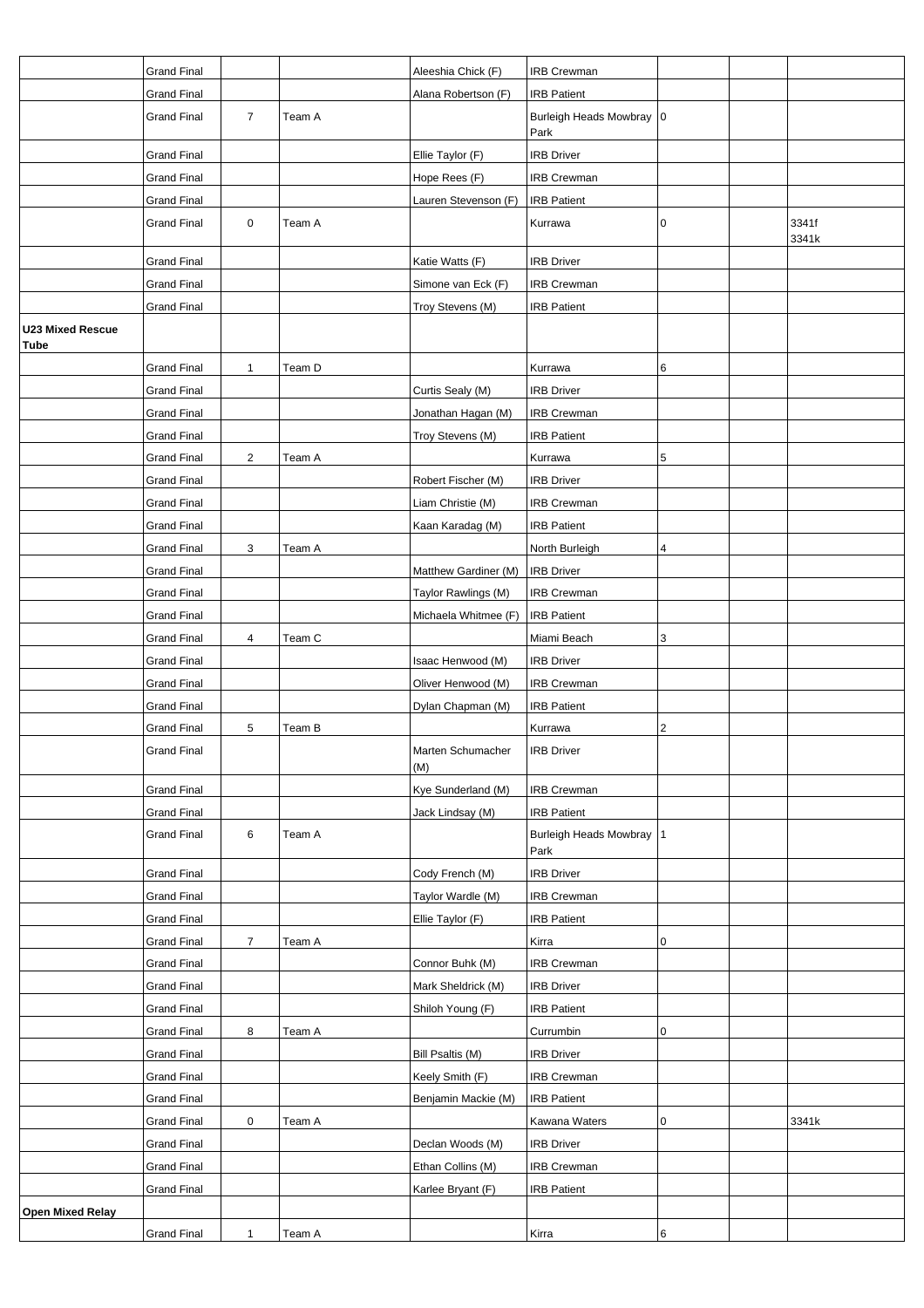|                                 | <b>Grand Final</b>                       |                         |        | Aleeshia Chick (F)       | <b>IRB Crewman</b>                             |   |                |
|---------------------------------|------------------------------------------|-------------------------|--------|--------------------------|------------------------------------------------|---|----------------|
|                                 | <b>Grand Final</b><br><b>Grand Final</b> | $\overline{7}$          | Team A | Alana Robertson (F)      | <b>IRB Patient</b><br>Burleigh Heads Mowbray 0 |   |                |
|                                 | <b>Grand Final</b>                       |                         |        | Ellie Taylor (F)         | Park<br><b>IRB Driver</b>                      |   |                |
|                                 | <b>Grand Final</b>                       |                         |        | Hope Rees (F)            | <b>IRB Crewman</b>                             |   |                |
|                                 | <b>Grand Final</b>                       |                         |        | Lauren Stevenson (F)     | <b>IRB Patient</b>                             |   |                |
|                                 | <b>Grand Final</b>                       | $\mathbf 0$             | Team A |                          | Kurrawa                                        | 0 | 3341f<br>3341k |
|                                 | <b>Grand Final</b>                       |                         |        | Katie Watts (F)          | <b>IRB Driver</b>                              |   |                |
|                                 | <b>Grand Final</b>                       |                         |        | Simone van Eck (F)       | <b>IRB Crewman</b>                             |   |                |
|                                 | <b>Grand Final</b>                       |                         |        | Troy Stevens (M)         | <b>IRB Patient</b>                             |   |                |
| <b>U23 Mixed Rescue</b><br>Tube |                                          |                         |        |                          |                                                |   |                |
|                                 | <b>Grand Final</b>                       | $\mathbf{1}$            | Team D |                          | Kurrawa                                        | 6 |                |
|                                 | <b>Grand Final</b>                       |                         |        | Curtis Sealy (M)         | <b>IRB Driver</b>                              |   |                |
|                                 | <b>Grand Final</b>                       |                         |        | Jonathan Hagan (M)       | <b>IRB Crewman</b>                             |   |                |
|                                 | <b>Grand Final</b>                       |                         |        | Troy Stevens (M)         | <b>IRB Patient</b>                             |   |                |
|                                 | <b>Grand Final</b>                       | $\overline{\mathbf{c}}$ | Team A |                          | Kurrawa                                        | 5 |                |
|                                 | <b>Grand Final</b>                       |                         |        | Robert Fischer (M)       | <b>IRB Driver</b>                              |   |                |
|                                 | <b>Grand Final</b>                       |                         |        | Liam Christie (M)        | <b>IRB Crewman</b>                             |   |                |
|                                 | <b>Grand Final</b>                       |                         |        | Kaan Karadag (M)         | <b>IRB Patient</b>                             |   |                |
|                                 | <b>Grand Final</b>                       | 3                       | Team A |                          | North Burleigh                                 | 4 |                |
|                                 | <b>Grand Final</b>                       |                         |        | Matthew Gardiner (M)     | <b>IRB Driver</b>                              |   |                |
|                                 | <b>Grand Final</b>                       |                         |        | Taylor Rawlings (M)      | <b>IRB Crewman</b>                             |   |                |
|                                 | <b>Grand Final</b>                       |                         |        | Michaela Whitmee (F)     | <b>IRB Patient</b>                             |   |                |
|                                 | <b>Grand Final</b>                       | 4                       | Team C |                          | Miami Beach                                    | 3 |                |
|                                 | <b>Grand Final</b>                       |                         |        | Isaac Henwood (M)        | <b>IRB Driver</b>                              |   |                |
|                                 | <b>Grand Final</b>                       |                         |        | Oliver Henwood (M)       | <b>IRB Crewman</b>                             |   |                |
|                                 | <b>Grand Final</b>                       |                         |        | Dylan Chapman (M)        | <b>IRB Patient</b>                             |   |                |
|                                 | <b>Grand Final</b>                       | 5                       | Team B |                          | Kurrawa                                        | 2 |                |
|                                 | <b>Grand Final</b>                       |                         |        | Marten Schumacher<br>(M) | <b>IRB Driver</b>                              |   |                |
|                                 | <b>Grand Final</b>                       |                         |        | Kye Sunderland (M)       | <b>IRB Crewman</b>                             |   |                |
|                                 | <b>Grand Final</b>                       |                         |        | Jack Lindsay (M)         | <b>IRB Patient</b>                             |   |                |
|                                 | <b>Grand Final</b>                       | 6                       | Team A |                          | Burleigh Heads Mowbray 1<br>Park               |   |                |
|                                 | <b>Grand Final</b>                       |                         |        | Cody French (M)          | <b>IRB Driver</b>                              |   |                |
|                                 | <b>Grand Final</b>                       |                         |        | Taylor Wardle (M)        | <b>IRB Crewman</b>                             |   |                |
|                                 | <b>Grand Final</b>                       |                         |        | Ellie Taylor (F)         | <b>IRB Patient</b>                             |   |                |
|                                 | <b>Grand Final</b>                       | $\overline{7}$          | Team A |                          | Kirra                                          | 0 |                |
|                                 | <b>Grand Final</b>                       |                         |        | Connor Buhk (M)          | <b>IRB Crewman</b>                             |   |                |
|                                 | <b>Grand Final</b>                       |                         |        | Mark Sheldrick (M)       | <b>IRB Driver</b>                              |   |                |
|                                 | <b>Grand Final</b>                       |                         |        | Shiloh Young (F)         | <b>IRB Patient</b>                             |   |                |
|                                 | <b>Grand Final</b>                       | 8                       | Team A |                          | Currumbin                                      | 0 |                |
|                                 | <b>Grand Final</b>                       |                         |        | Bill Psaltis (M)         | <b>IRB Driver</b>                              |   |                |
|                                 | <b>Grand Final</b>                       |                         |        | Keely Smith (F)          | <b>IRB Crewman</b>                             |   |                |
|                                 | <b>Grand Final</b>                       |                         |        | Benjamin Mackie (M)      | <b>IRB Patient</b>                             |   |                |
|                                 | <b>Grand Final</b>                       | 0                       | Team A |                          | Kawana Waters                                  | 0 | 3341k          |
|                                 | <b>Grand Final</b>                       |                         |        | Declan Woods (M)         | <b>IRB Driver</b>                              |   |                |
|                                 | <b>Grand Final</b>                       |                         |        | Ethan Collins (M)        | <b>IRB Crewman</b>                             |   |                |
|                                 | <b>Grand Final</b>                       |                         |        | Karlee Bryant (F)        | <b>IRB Patient</b>                             |   |                |
| <b>Open Mixed Relay</b>         | <b>Grand Final</b>                       | 1                       | Team A |                          | Kirra                                          | 6 |                |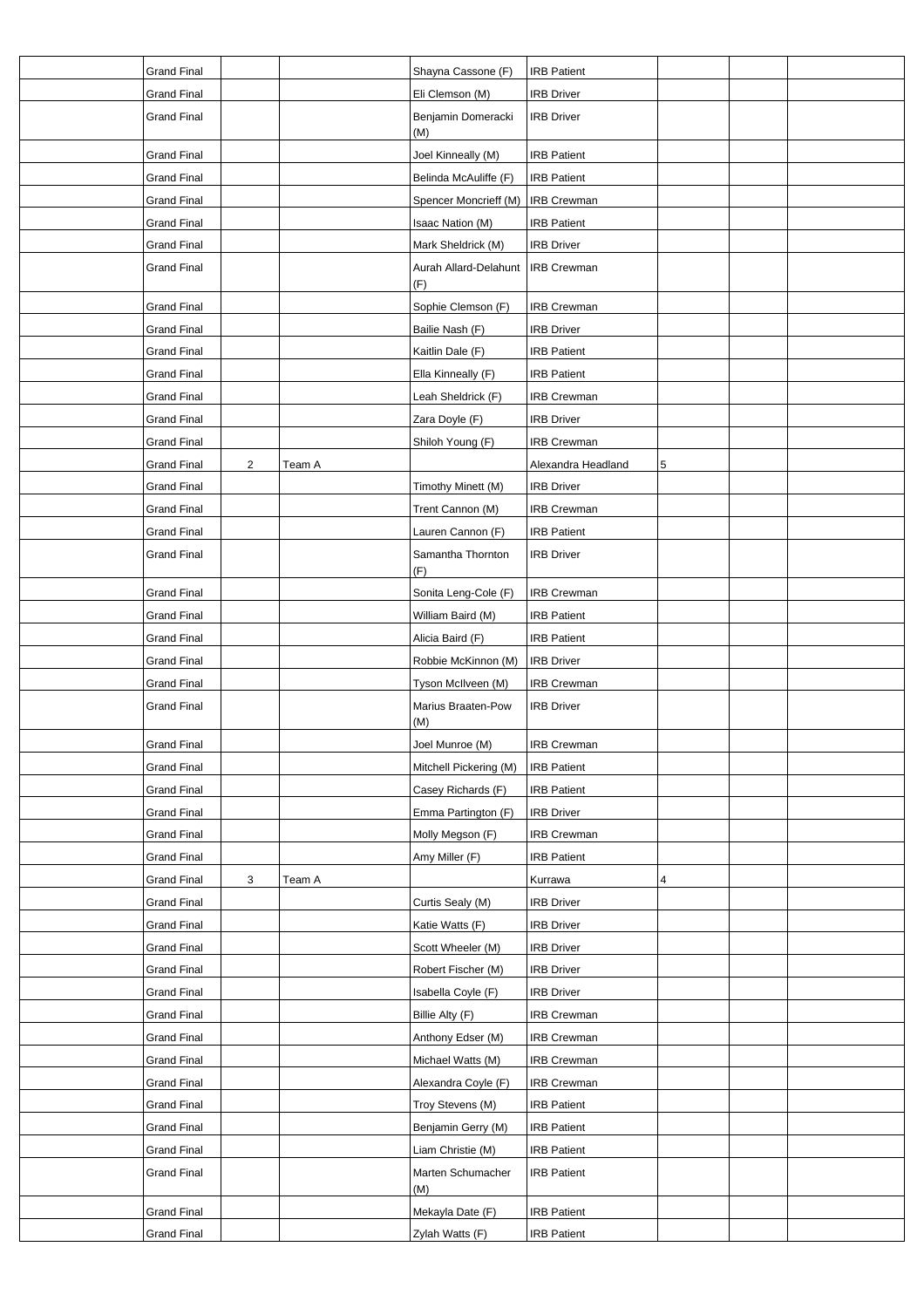| <b>Grand Final</b> |   |        | Shayna Cassone (F)           | <b>IRB Patient</b> |   |  |
|--------------------|---|--------|------------------------------|--------------------|---|--|
| <b>Grand Final</b> |   |        | Eli Clemson (M)              | <b>IRB Driver</b>  |   |  |
| <b>Grand Final</b> |   |        | Benjamin Domeracki<br>(M)    | <b>IRB Driver</b>  |   |  |
| <b>Grand Final</b> |   |        | Joel Kinneally (M)           | <b>IRB Patient</b> |   |  |
| <b>Grand Final</b> |   |        | Belinda McAuliffe (F)        | <b>IRB Patient</b> |   |  |
| <b>Grand Final</b> |   |        | Spencer Moncrieff (M)        | <b>IRB Crewman</b> |   |  |
| <b>Grand Final</b> |   |        | Isaac Nation (M)             | <b>IRB Patient</b> |   |  |
| <b>Grand Final</b> |   |        | Mark Sheldrick (M)           | <b>IRB Driver</b>  |   |  |
| <b>Grand Final</b> |   |        | Aurah Allard-Delahunt<br>(F) | <b>IRB Crewman</b> |   |  |
| <b>Grand Final</b> |   |        | Sophie Clemson (F)           | <b>IRB</b> Crewman |   |  |
| <b>Grand Final</b> |   |        | Bailie Nash (F)              | <b>IRB Driver</b>  |   |  |
| <b>Grand Final</b> |   |        | Kaitlin Dale (F)             | <b>IRB Patient</b> |   |  |
| <b>Grand Final</b> |   |        | Ella Kinneally (F)           | <b>IRB Patient</b> |   |  |
| <b>Grand Final</b> |   |        | Leah Sheldrick (F)           | <b>IRB Crewman</b> |   |  |
| <b>Grand Final</b> |   |        | Zara Doyle (F)               | <b>IRB Driver</b>  |   |  |
| <b>Grand Final</b> |   |        | Shiloh Young (F)             | <b>IRB Crewman</b> |   |  |
| <b>Grand Final</b> | 2 | Team A |                              | Alexandra Headland | 5 |  |
| <b>Grand Final</b> |   |        | Timothy Minett (M)           | <b>IRB Driver</b>  |   |  |
| <b>Grand Final</b> |   |        | Trent Cannon (M)             | <b>IRB Crewman</b> |   |  |
| <b>Grand Final</b> |   |        | Lauren Cannon (F)            | <b>IRB Patient</b> |   |  |
| <b>Grand Final</b> |   |        | Samantha Thornton            | <b>IRB Driver</b>  |   |  |
|                    |   |        | (F)                          |                    |   |  |
| <b>Grand Final</b> |   |        | Sonita Leng-Cole (F)         | <b>IRB Crewman</b> |   |  |
| <b>Grand Final</b> |   |        | William Baird (M)            | <b>IRB Patient</b> |   |  |
| <b>Grand Final</b> |   |        | Alicia Baird (F)             | <b>IRB Patient</b> |   |  |
| <b>Grand Final</b> |   |        | Robbie McKinnon (M)          | <b>IRB Driver</b>  |   |  |
| <b>Grand Final</b> |   |        | Tyson McIlveen (M)           | <b>IRB Crewman</b> |   |  |
| <b>Grand Final</b> |   |        | Marius Braaten-Pow<br>(M)    | <b>IRB Driver</b>  |   |  |
| <b>Grand Final</b> |   |        | Joel Munroe (M)              | <b>IRB Crewman</b> |   |  |
| <b>Grand Final</b> |   |        | Mitchell Pickering (M)       | <b>IRB Patient</b> |   |  |
| <b>Grand Final</b> |   |        | Casey Richards (F)           | <b>IRB Patient</b> |   |  |
| <b>Grand Final</b> |   |        | Emma Partington (F)          | <b>IRB Driver</b>  |   |  |
| <b>Grand Final</b> |   |        | Molly Megson (F)             | <b>IRB Crewman</b> |   |  |
| <b>Grand Final</b> |   |        | Amy Miller (F)               | <b>IRB Patient</b> |   |  |
| <b>Grand Final</b> | 3 | Team A |                              | Kurrawa            | 4 |  |
| <b>Grand Final</b> |   |        | Curtis Sealy (M)             | <b>IRB Driver</b>  |   |  |
| <b>Grand Final</b> |   |        | Katie Watts (F)              | <b>IRB Driver</b>  |   |  |
| <b>Grand Final</b> |   |        | Scott Wheeler (M)            | <b>IRB Driver</b>  |   |  |
| <b>Grand Final</b> |   |        | Robert Fischer (M)           | <b>IRB Driver</b>  |   |  |
| <b>Grand Final</b> |   |        | Isabella Coyle (F)           | <b>IRB Driver</b>  |   |  |
| Grand Final        |   |        | Billie Alty (F)              | <b>IRB Crewman</b> |   |  |
| <b>Grand Final</b> |   |        | Anthony Edser (M)            | <b>IRB Crewman</b> |   |  |
| <b>Grand Final</b> |   |        | Michael Watts (M)            | <b>IRB Crewman</b> |   |  |
| <b>Grand Final</b> |   |        | Alexandra Coyle (F)          | <b>IRB Crewman</b> |   |  |
| <b>Grand Final</b> |   |        | Troy Stevens (M)             | <b>IRB Patient</b> |   |  |
| <b>Grand Final</b> |   |        | Benjamin Gerry (M)           | <b>IRB Patient</b> |   |  |
| <b>Grand Final</b> |   |        | Liam Christie (M)            | <b>IRB Patient</b> |   |  |
| Grand Final        |   |        | Marten Schumacher            | <b>IRB Patient</b> |   |  |
|                    |   |        | (M)                          |                    |   |  |
| <b>Grand Final</b> |   |        | Mekayla Date (F)             | <b>IRB Patient</b> |   |  |
| <b>Grand Final</b> |   |        | Zylah Watts (F)              | <b>IRB Patient</b> |   |  |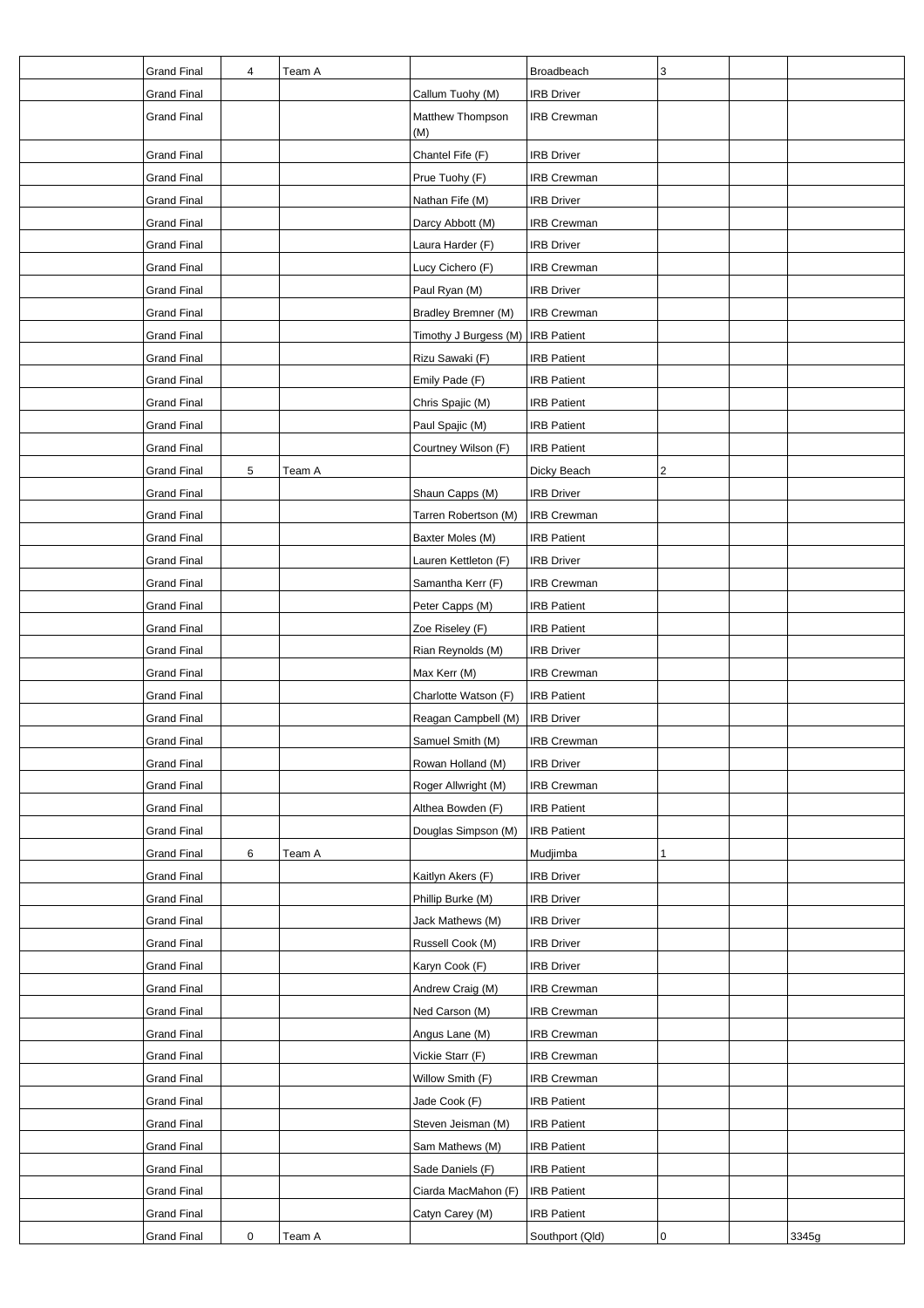| <b>Grand Final</b> | 4 | Team A |                         | Broadbeach                       | 3              |       |
|--------------------|---|--------|-------------------------|----------------------------------|----------------|-------|
| <b>Grand Final</b> |   |        | Callum Tuohy (M)        | <b>IRB</b> Driver                |                |       |
| <b>Grand Final</b> |   |        | Matthew Thompson<br>(M) | <b>IRB Crewman</b>               |                |       |
| <b>Grand Final</b> |   |        | Chantel Fife (F)        | <b>IRB Driver</b>                |                |       |
| <b>Grand Final</b> |   |        | Prue Tuohy (F)          | <b>IRB Crewman</b>               |                |       |
| <b>Grand Final</b> |   |        | Nathan Fife (M)         | <b>IRB Driver</b>                |                |       |
| <b>Grand Final</b> |   |        | Darcy Abbott (M)        | <b>IRB Crewman</b>               |                |       |
| <b>Grand Final</b> |   |        | Laura Harder (F)        | <b>IRB Driver</b>                |                |       |
| <b>Grand Final</b> |   |        | Lucy Cichero (F)        | <b>IRB Crewman</b>               |                |       |
| <b>Grand Final</b> |   |        | Paul Ryan (M)           | <b>IRB Driver</b>                |                |       |
| <b>Grand Final</b> |   |        | Bradley Bremner (M)     | IRB Crewman                      |                |       |
| <b>Grand Final</b> |   |        | Timothy J Burgess (M)   | <b>IRB Patient</b>               |                |       |
| <b>Grand Final</b> |   |        | Rizu Sawaki (F)         | <b>IRB Patient</b>               |                |       |
| <b>Grand Final</b> |   |        | Emily Pade (F)          | <b>IRB Patient</b>               |                |       |
| <b>Grand Final</b> |   |        | Chris Spajic (M)        | <b>IRB Patient</b>               |                |       |
| <b>Grand Final</b> |   |        | Paul Spajic (M)         | <b>IRB Patient</b>               |                |       |
| <b>Grand Final</b> |   |        | Courtney Wilson (F)     | <b>IRB Patient</b>               |                |       |
| <b>Grand Final</b> | 5 | Team A |                         | Dicky Beach                      | $\overline{2}$ |       |
| <b>Grand Final</b> |   |        | Shaun Capps (M)         | <b>IRB Driver</b>                |                |       |
| <b>Grand Final</b> |   |        | Tarren Robertson (M)    | IRB Crewman                      |                |       |
| <b>Grand Final</b> |   |        | Baxter Moles (M)        | <b>IRB Patient</b>               |                |       |
|                    |   |        |                         |                                  |                |       |
| <b>Grand Final</b> |   |        | Lauren Kettleton (F)    | <b>IRB Driver</b><br>IRB Crewman |                |       |
| <b>Grand Final</b> |   |        | Samantha Kerr (F)       |                                  |                |       |
| <b>Grand Final</b> |   |        | Peter Capps (M)         | <b>IRB Patient</b>               |                |       |
| <b>Grand Final</b> |   |        | Zoe Riseley (F)         | <b>IRB Patient</b>               |                |       |
| <b>Grand Final</b> |   |        | Rian Reynolds (M)       | <b>IRB Driver</b>                |                |       |
| <b>Grand Final</b> |   |        | Max Kerr (M)            | <b>IRB Crewman</b>               |                |       |
| <b>Grand Final</b> |   |        | Charlotte Watson (F)    | <b>IRB Patient</b>               |                |       |
| <b>Grand Final</b> |   |        | Reagan Campbell (M)     | <b>IRB Driver</b>                |                |       |
| <b>Grand Final</b> |   |        | Samuel Smith (M)        | <b>IRB Crewman</b>               |                |       |
| <b>Grand Final</b> |   |        | Rowan Holland (M)       | <b>IRB Driver</b>                |                |       |
| <b>Grand Final</b> |   |        | Roger Allwright (M)     | <b>IRB Crewman</b>               |                |       |
| <b>Grand Final</b> |   |        | Althea Bowden (F)       | <b>IRB Patient</b>               |                |       |
| <b>Grand Final</b> |   |        | Douglas Simpson (M)     | <b>IRB Patient</b>               |                |       |
| <b>Grand Final</b> | 6 | Team A |                         | Mudjimba                         | 1              |       |
| <b>Grand Final</b> |   |        | Kaitlyn Akers (F)       | <b>IRB Driver</b>                |                |       |
| <b>Grand Final</b> |   |        | Phillip Burke (M)       | <b>IRB Driver</b>                |                |       |
| <b>Grand Final</b> |   |        | Jack Mathews (M)        | <b>IRB Driver</b>                |                |       |
| <b>Grand Final</b> |   |        | Russell Cook (M)        | <b>IRB Driver</b>                |                |       |
| <b>Grand Final</b> |   |        | Karyn Cook (F)          | <b>IRB Driver</b>                |                |       |
| <b>Grand Final</b> |   |        | Andrew Craig (M)        | <b>IRB Crewman</b>               |                |       |
| <b>Grand Final</b> |   |        | Ned Carson (M)          | <b>IRB Crewman</b>               |                |       |
| Grand Final        |   |        | Angus Lane (M)          | <b>IRB Crewman</b>               |                |       |
| <b>Grand Final</b> |   |        | Vickie Starr (F)        | <b>IRB Crewman</b>               |                |       |
| <b>Grand Final</b> |   |        | Willow Smith (F)        | IRB Crewman                      |                |       |
| <b>Grand Final</b> |   |        | Jade Cook (F)           | <b>IRB Patient</b>               |                |       |
| <b>Grand Final</b> |   |        | Steven Jeisman (M)      | <b>IRB Patient</b>               |                |       |
| <b>Grand Final</b> |   |        | Sam Mathews (M)         | <b>IRB Patient</b>               |                |       |
| <b>Grand Final</b> |   |        | Sade Daniels (F)        | <b>IRB Patient</b>               |                |       |
| <b>Grand Final</b> |   |        | Ciarda MacMahon (F)     | <b>IRB Patient</b>               |                |       |
| <b>Grand Final</b> |   |        | Catyn Carey (M)         | <b>IRB Patient</b>               |                |       |
| <b>Grand Final</b> | 0 | Team A |                         | Southport (Qld)                  | 0              | 3345g |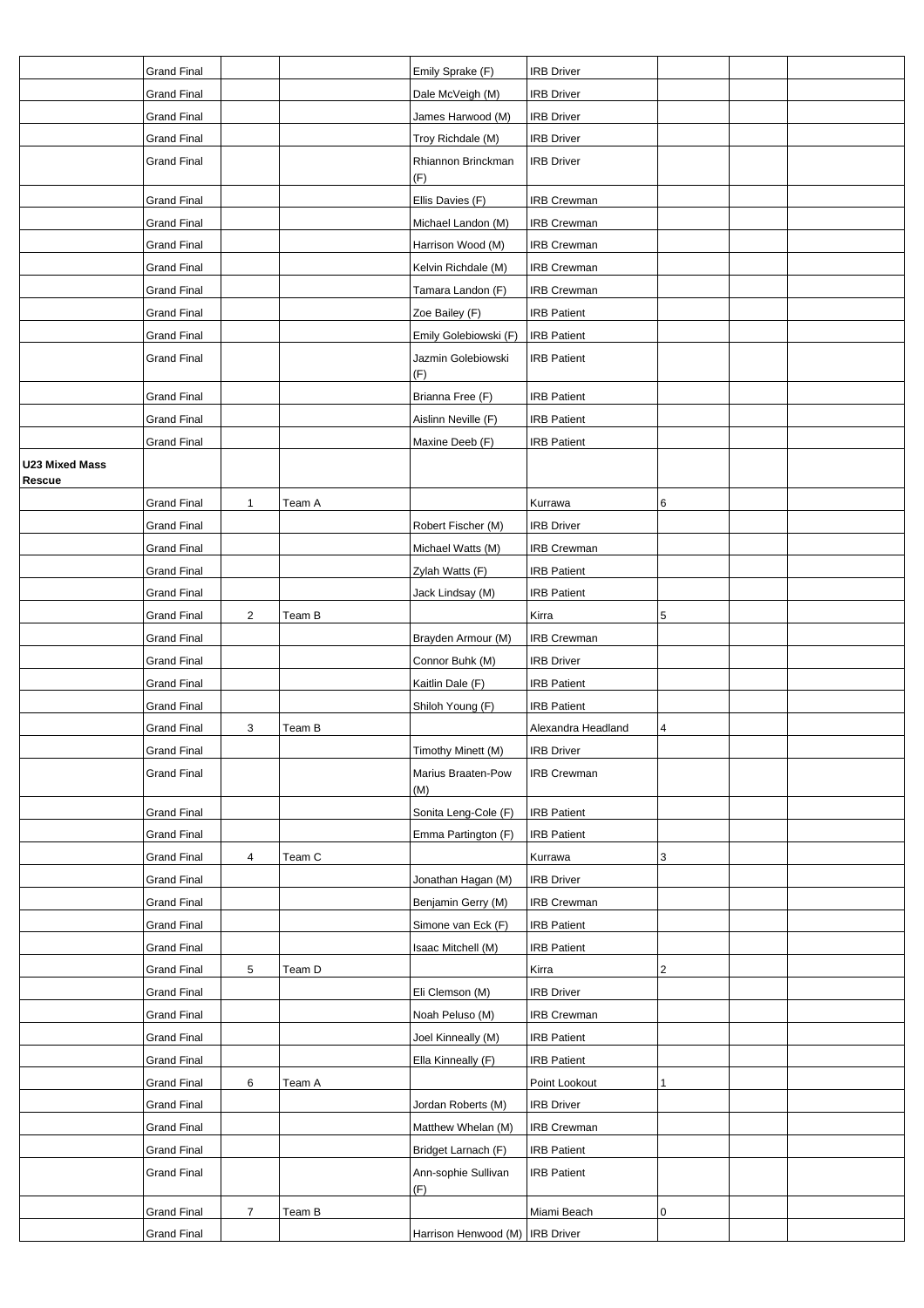|                                 | <b>Grand Final</b> |                |        | Emily Sprake (F)                  | <b>IRB Driver</b>  |   |  |
|---------------------------------|--------------------|----------------|--------|-----------------------------------|--------------------|---|--|
|                                 | <b>Grand Final</b> |                |        | Dale McVeigh (M)                  | <b>IRB Driver</b>  |   |  |
|                                 | <b>Grand Final</b> |                |        | James Harwood (M)                 | <b>IRB Driver</b>  |   |  |
|                                 | <b>Grand Final</b> |                |        | Troy Richdale (M)                 | <b>IRB Driver</b>  |   |  |
|                                 | <b>Grand Final</b> |                |        | Rhiannon Brinckman<br>(F)         | <b>IRB Driver</b>  |   |  |
|                                 | <b>Grand Final</b> |                |        | Ellis Davies (F)                  | <b>IRB Crewman</b> |   |  |
|                                 | <b>Grand Final</b> |                |        | Michael Landon (M)                | <b>IRB Crewman</b> |   |  |
|                                 | <b>Grand Final</b> |                |        | Harrison Wood (M)                 | <b>IRB Crewman</b> |   |  |
|                                 | <b>Grand Final</b> |                |        | Kelvin Richdale (M)               | <b>IRB Crewman</b> |   |  |
|                                 | <b>Grand Final</b> |                |        | Tamara Landon (F)                 | <b>IRB Crewman</b> |   |  |
|                                 | <b>Grand Final</b> |                |        | Zoe Bailey (F)                    | <b>IRB Patient</b> |   |  |
|                                 | <b>Grand Final</b> |                |        | Emily Golebiowski (F)             | <b>IRB Patient</b> |   |  |
|                                 | <b>Grand Final</b> |                |        | Jazmin Golebiowski<br>(F)         | <b>IRB Patient</b> |   |  |
|                                 | <b>Grand Final</b> |                |        | Brianna Free (F)                  | <b>IRB Patient</b> |   |  |
|                                 | Grand Final        |                |        | Aislinn Neville (F)               | <b>IRB Patient</b> |   |  |
|                                 | <b>Grand Final</b> |                |        | Maxine Deeb (F)                   | <b>IRB Patient</b> |   |  |
| <b>U23 Mixed Mass</b><br>Rescue |                    |                |        |                                   |                    |   |  |
|                                 | <b>Grand Final</b> | $\mathbf{1}$   | Team A |                                   | Kurrawa            | 6 |  |
|                                 | <b>Grand Final</b> |                |        | Robert Fischer (M)                | <b>IRB Driver</b>  |   |  |
|                                 | <b>Grand Final</b> |                |        | Michael Watts (M)                 | <b>IRB Crewman</b> |   |  |
|                                 | Grand Final        |                |        | Zylah Watts (F)                   | <b>IRB Patient</b> |   |  |
|                                 | <b>Grand Final</b> |                |        | Jack Lindsay (M)                  | <b>IRB Patient</b> |   |  |
|                                 | <b>Grand Final</b> | $\overline{2}$ | Team B |                                   | Kirra              | 5 |  |
|                                 | <b>Grand Final</b> |                |        | Brayden Armour (M)                | <b>IRB Crewman</b> |   |  |
|                                 | Grand Final        |                |        | Connor Buhk (M)                   | <b>IRB Driver</b>  |   |  |
|                                 | Grand Final        |                |        | Kaitlin Dale (F)                  | <b>IRB Patient</b> |   |  |
|                                 | <b>Grand Final</b> |                |        | Shiloh Young (F)                  | <b>IRB Patient</b> |   |  |
|                                 | <b>Grand Final</b> | 3              | Team B |                                   | Alexandra Headland | 4 |  |
|                                 | <b>Grand Final</b> |                |        | Timothy Minett (M)                | <b>IRB Driver</b>  |   |  |
|                                 | <b>Grand Final</b> |                |        | Marius Braaten-Pow<br>(M)         | <b>IRB Crewman</b> |   |  |
|                                 | <b>Grand Final</b> |                |        | Sonita Leng-Cole (F)              | <b>IRB Patient</b> |   |  |
|                                 | <b>Grand Final</b> |                |        | Emma Partington (F)               | <b>IRB Patient</b> |   |  |
|                                 | <b>Grand Final</b> | 4              | Team C |                                   | Kurrawa            | 3 |  |
|                                 | <b>Grand Final</b> |                |        | Jonathan Hagan (M)                | <b>IRB Driver</b>  |   |  |
|                                 | <b>Grand Final</b> |                |        | Benjamin Gerry (M)                | <b>IRB Crewman</b> |   |  |
|                                 | <b>Grand Final</b> |                |        | Simone van Eck (F)                | <b>IRB Patient</b> |   |  |
|                                 | <b>Grand Final</b> |                |        | Isaac Mitchell (M)                | <b>IRB Patient</b> |   |  |
|                                 | <b>Grand Final</b> | 5              | Team D |                                   | Kirra              | 2 |  |
|                                 | <b>Grand Final</b> |                |        | Eli Clemson (M)                   | <b>IRB Driver</b>  |   |  |
|                                 | <b>Grand Final</b> |                |        | Noah Peluso (M)                   | <b>IRB Crewman</b> |   |  |
|                                 | <b>Grand Final</b> |                |        | Joel Kinneally (M)                | <b>IRB Patient</b> |   |  |
|                                 | <b>Grand Final</b> |                |        | Ella Kinneally (F)                | <b>IRB Patient</b> |   |  |
|                                 | <b>Grand Final</b> | 6              | Team A |                                   | Point Lookout      | 1 |  |
|                                 | <b>Grand Final</b> |                |        | Jordan Roberts (M)                | <b>IRB Driver</b>  |   |  |
|                                 | <b>Grand Final</b> |                |        | Matthew Whelan (M)                | <b>IRB Crewman</b> |   |  |
|                                 | <b>Grand Final</b> |                |        | Bridget Larnach (F)               | <b>IRB Patient</b> |   |  |
|                                 | <b>Grand Final</b> |                |        | Ann-sophie Sullivan<br>(F)        | <b>IRB Patient</b> |   |  |
|                                 | <b>Grand Final</b> | $\overline{7}$ | Team B |                                   | Miami Beach        | 0 |  |
|                                 | <b>Grand Final</b> |                |        | Harrison Henwood (M)   IRB Driver |                    |   |  |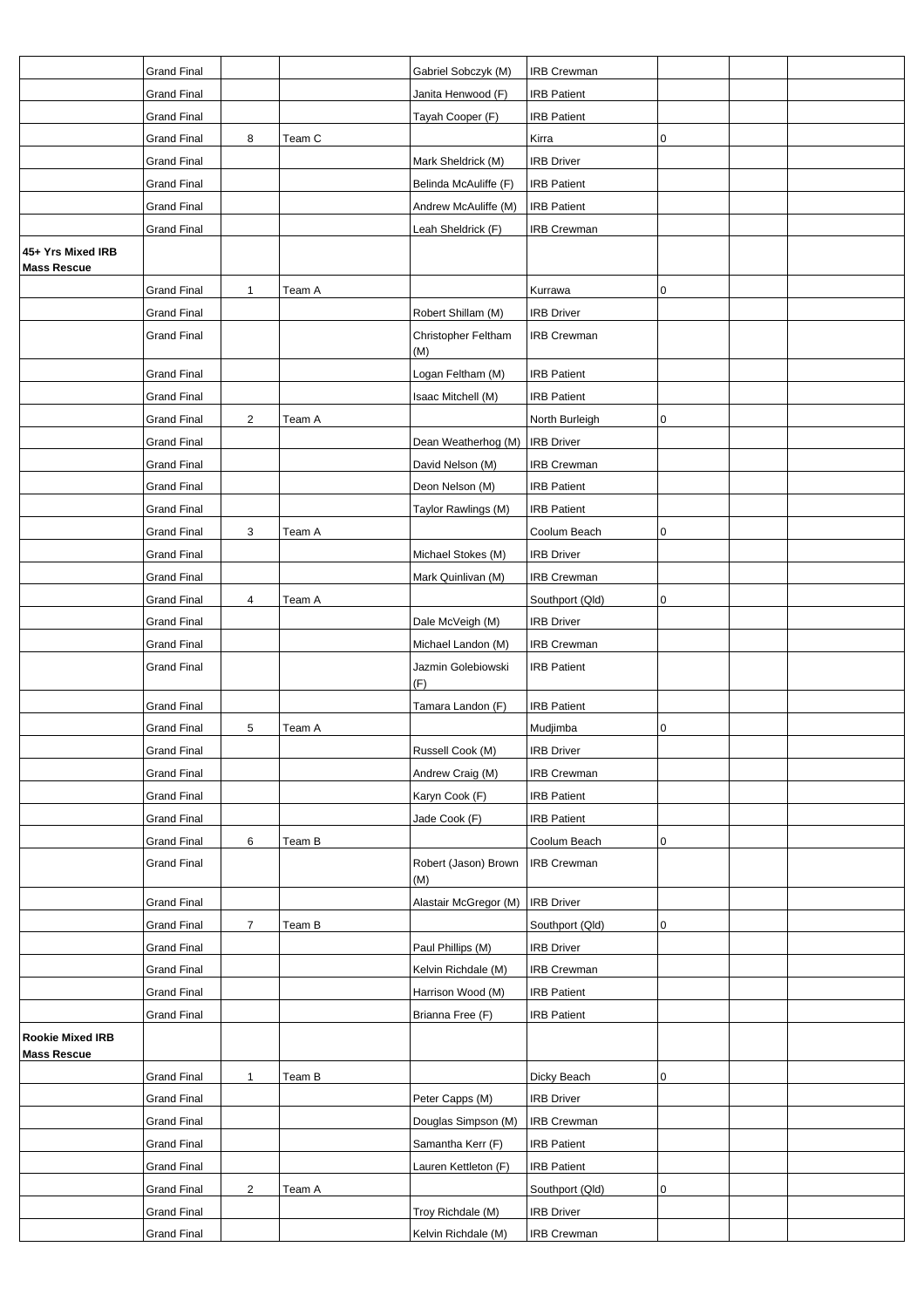|                                               | <b>Grand Final</b> |                |        | Gabriel Sobczyk (M)         | <b>IRB Crewman</b> |              |  |
|-----------------------------------------------|--------------------|----------------|--------|-----------------------------|--------------------|--------------|--|
|                                               | <b>Grand Final</b> |                |        | Janita Henwood (F)          | <b>IRB Patient</b> |              |  |
|                                               | <b>Grand Final</b> |                |        | Tayah Cooper (F)            | <b>IRB</b> Patient |              |  |
|                                               | <b>Grand Final</b> | 8              | Team C |                             | Kirra              | 0            |  |
|                                               | <b>Grand Final</b> |                |        | Mark Sheldrick (M)          | <b>IRB Driver</b>  |              |  |
|                                               | <b>Grand Final</b> |                |        | Belinda McAuliffe (F)       | <b>IRB Patient</b> |              |  |
|                                               | <b>Grand Final</b> |                |        | Andrew McAuliffe (M)        | <b>IRB Patient</b> |              |  |
|                                               | <b>Grand Final</b> |                |        | Leah Sheldrick (F)          | IRB Crewman        |              |  |
| 45+ Yrs Mixed IRB                             |                    |                |        |                             |                    |              |  |
| <b>Mass Rescue</b>                            |                    |                |        |                             |                    |              |  |
|                                               | <b>Grand Final</b> | $\mathbf{1}$   | Team A |                             | Kurrawa            | 0            |  |
|                                               | <b>Grand Final</b> |                |        | Robert Shillam (M)          | <b>IRB Driver</b>  |              |  |
|                                               | <b>Grand Final</b> |                |        | Christopher Feltham<br>(M)  | <b>IRB Crewman</b> |              |  |
|                                               | <b>Grand Final</b> |                |        | Logan Feltham (M)           | <b>IRB Patient</b> |              |  |
|                                               | <b>Grand Final</b> |                |        | Isaac Mitchell (M)          | <b>IRB Patient</b> |              |  |
|                                               | <b>Grand Final</b> | 2              | Team A |                             | North Burleigh     | 0            |  |
|                                               | <b>Grand Final</b> |                |        | Dean Weatherhog (M)         | <b>IRB Driver</b>  |              |  |
|                                               | <b>Grand Final</b> |                |        | David Nelson (M)            | <b>IRB Crewman</b> |              |  |
|                                               | <b>Grand Final</b> |                |        | Deon Nelson (M)             | <b>IRB</b> Patient |              |  |
|                                               | <b>Grand Final</b> |                |        | Taylor Rawlings (M)         | <b>IRB Patient</b> |              |  |
|                                               | <b>Grand Final</b> | 3              | Team A |                             | Coolum Beach       | 0            |  |
|                                               | <b>Grand Final</b> |                |        | Michael Stokes (M)          | <b>IRB Driver</b>  |              |  |
|                                               | <b>Grand Final</b> |                |        | Mark Quinlivan (M)          | IRB Crewman        |              |  |
|                                               | <b>Grand Final</b> | 4              | Team A |                             | Southport (Qld)    | $\pmb{0}$    |  |
|                                               | <b>Grand Final</b> |                |        | Dale McVeigh (M)            | <b>IRB Driver</b>  |              |  |
|                                               | Grand Final        |                |        | Michael Landon (M)          | IRB Crewman        |              |  |
|                                               | <b>Grand Final</b> |                |        | Jazmin Golebiowski<br>(F)   | <b>IRB Patient</b> |              |  |
|                                               | <b>Grand Final</b> |                |        | Tamara Landon (F)           | <b>IRB Patient</b> |              |  |
|                                               | <b>Grand Final</b> | $\sqrt{5}$     | Team A |                             | Mudjimba           | 0            |  |
|                                               | <b>Grand Final</b> |                |        | Russell Cook (M)            | <b>IRB Driver</b>  |              |  |
|                                               | Grand Final        |                |        | Andrew Craig (M)            | <b>IRB Crewman</b> |              |  |
|                                               | <b>Grand Final</b> |                |        | Karyn Cook (F)              | <b>IRB Patient</b> |              |  |
|                                               | <b>Grand Final</b> |                |        | Jade Cook (F)               | <b>IRB Patient</b> |              |  |
|                                               | <b>Grand Final</b> | 6              | Team B |                             | Coolum Beach       | $\mathsf{O}$ |  |
|                                               | <b>Grand Final</b> |                |        | Robert (Jason) Brown<br>(M) | <b>IRB Crewman</b> |              |  |
|                                               | <b>Grand Final</b> |                |        | Alastair McGregor (M)       | <b>IRB Driver</b>  |              |  |
|                                               | <b>Grand Final</b> | $\overline{7}$ | Team B |                             | Southport (Qld)    | 0            |  |
|                                               | <b>Grand Final</b> |                |        | Paul Phillips (M)           | <b>IRB Driver</b>  |              |  |
|                                               | <b>Grand Final</b> |                |        | Kelvin Richdale (M)         | <b>IRB Crewman</b> |              |  |
|                                               | <b>Grand Final</b> |                |        | Harrison Wood (M)           | <b>IRB Patient</b> |              |  |
|                                               | <b>Grand Final</b> |                |        | Brianna Free (F)            | <b>IRB Patient</b> |              |  |
| <b>Rookie Mixed IRB</b><br><b>Mass Rescue</b> |                    |                |        |                             |                    |              |  |
|                                               | <b>Grand Final</b> | $\mathbf{1}$   | Team B |                             | Dicky Beach        | 0            |  |
|                                               | <b>Grand Final</b> |                |        | Peter Capps (M)             | <b>IRB Driver</b>  |              |  |
|                                               | <b>Grand Final</b> |                |        | Douglas Simpson (M)         | <b>IRB Crewman</b> |              |  |
|                                               | <b>Grand Final</b> |                |        | Samantha Kerr (F)           | <b>IRB Patient</b> |              |  |
|                                               | <b>Grand Final</b> |                |        | Lauren Kettleton (F)        | <b>IRB Patient</b> |              |  |
|                                               | <b>Grand Final</b> | $\overline{2}$ | Team A |                             | Southport (Qld)    | 0            |  |
|                                               | Grand Final        |                |        | Troy Richdale (M)           | <b>IRB Driver</b>  |              |  |
|                                               | <b>Grand Final</b> |                |        | Kelvin Richdale (M)         | <b>IRB Crewman</b> |              |  |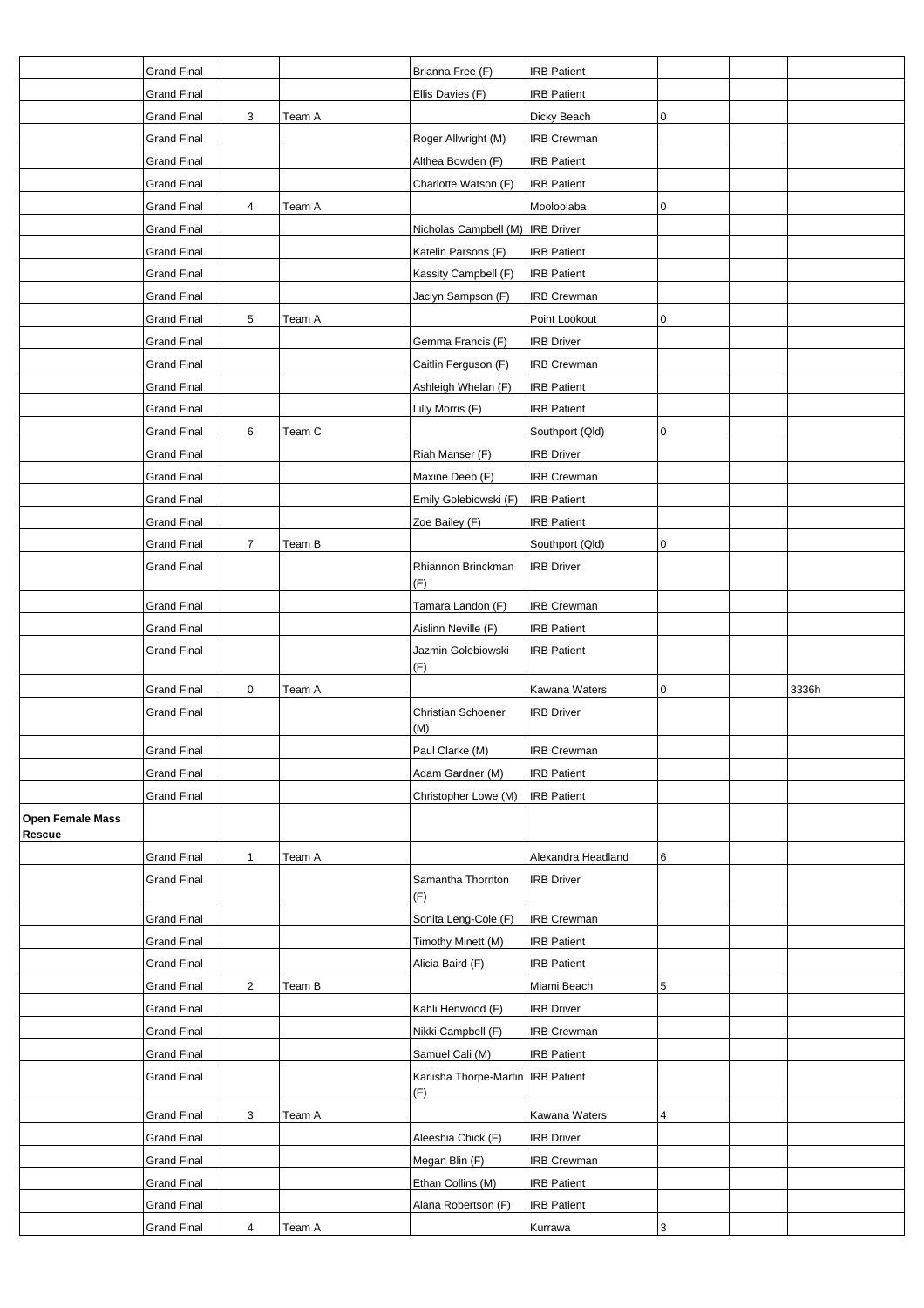|                                   | <b>Grand Final</b> |                |        | Brianna Free (F)                            | <b>IRB Patient</b> |   |       |
|-----------------------------------|--------------------|----------------|--------|---------------------------------------------|--------------------|---|-------|
|                                   | <b>Grand Final</b> |                |        | Ellis Davies (F)                            | <b>IRB Patient</b> |   |       |
|                                   | <b>Grand Final</b> | 3              | Team A |                                             | Dicky Beach        | 0 |       |
|                                   | <b>Grand Final</b> |                |        | Roger Allwright (M)                         | <b>IRB Crewman</b> |   |       |
|                                   | <b>Grand Final</b> |                |        | Althea Bowden (F)                           | <b>IRB Patient</b> |   |       |
|                                   | <b>Grand Final</b> |                |        | Charlotte Watson (F)                        | <b>IRB Patient</b> |   |       |
|                                   | <b>Grand Final</b> | 4              | Team A |                                             | Mooloolaba         | 0 |       |
|                                   | <b>Grand Final</b> |                |        | Nicholas Campbell (M)   IRB Driver          |                    |   |       |
|                                   | <b>Grand Final</b> |                |        | Katelin Parsons (F)                         | <b>IRB Patient</b> |   |       |
|                                   | <b>Grand Final</b> |                |        | Kassity Campbell (F)                        | <b>IRB Patient</b> |   |       |
|                                   | <b>Grand Final</b> |                |        | Jaclyn Sampson (F)                          | <b>IRB Crewman</b> |   |       |
|                                   | <b>Grand Final</b> | 5              | Team A |                                             | Point Lookout      | 0 |       |
|                                   | <b>Grand Final</b> |                |        | Gemma Francis (F)                           | <b>IRB Driver</b>  |   |       |
|                                   | <b>Grand Final</b> |                |        | Caitlin Ferguson (F)                        | <b>IRB Crewman</b> |   |       |
|                                   | <b>Grand Final</b> |                |        | Ashleigh Whelan (F)                         | <b>IRB Patient</b> |   |       |
|                                   | <b>Grand Final</b> |                |        | Lilly Morris (F)                            | <b>IRB Patient</b> |   |       |
|                                   | <b>Grand Final</b> | 6              | Team C |                                             | Southport (Qld)    | 0 |       |
|                                   | <b>Grand Final</b> |                |        | Riah Manser (F)                             | <b>IRB Driver</b>  |   |       |
|                                   | <b>Grand Final</b> |                |        | Maxine Deeb (F)                             | <b>IRB Crewman</b> |   |       |
|                                   | <b>Grand Final</b> |                |        | Emily Golebiowski (F)                       | <b>IRB Patient</b> |   |       |
|                                   | <b>Grand Final</b> |                |        | Zoe Bailey (F)                              | <b>IRB Patient</b> |   |       |
|                                   | <b>Grand Final</b> | $\overline{7}$ | Team B |                                             | Southport (Qld)    | 0 |       |
|                                   | <b>Grand Final</b> |                |        | Rhiannon Brinckman                          | <b>IRB Driver</b>  |   |       |
|                                   |                    |                |        | (F)                                         |                    |   |       |
|                                   | <b>Grand Final</b> |                |        | Tamara Landon (F)                           | <b>IRB Crewman</b> |   |       |
|                                   | <b>Grand Final</b> |                |        | Aislinn Neville (F)                         | <b>IRB Patient</b> |   |       |
|                                   | <b>Grand Final</b> |                |        | Jazmin Golebiowski<br>(F)                   | <b>IRB Patient</b> |   |       |
|                                   | <b>Grand Final</b> | 0              | Team A |                                             | Kawana Waters      | 0 | 3336h |
|                                   | <b>Grand Final</b> |                |        | Christian Schoener<br>(M)                   | <b>IRB Driver</b>  |   |       |
|                                   | <b>Grand Final</b> |                |        | Paul Clarke (M)                             | <b>IRB Crewman</b> |   |       |
|                                   | <b>Grand Final</b> |                |        | Adam Gardner (M)                            | <b>IRB Patient</b> |   |       |
|                                   | <b>Grand Final</b> |                |        | Christopher Lowe (M)                        | <b>IRB Patient</b> |   |       |
| <b>Open Female Mass</b><br>Rescue |                    |                |        |                                             |                    |   |       |
|                                   | <b>Grand Final</b> | $\mathbf{1}$   | Team A |                                             | Alexandra Headland | 6 |       |
|                                   | <b>Grand Final</b> |                |        | Samantha Thornton<br>(F)                    | <b>IRB Driver</b>  |   |       |
|                                   | <b>Grand Final</b> |                |        | Sonita Leng-Cole (F)                        | <b>IRB Crewman</b> |   |       |
|                                   | <b>Grand Final</b> |                |        | Timothy Minett (M)                          | <b>IRB Patient</b> |   |       |
|                                   | <b>Grand Final</b> |                |        | Alicia Baird (F)                            | <b>IRB Patient</b> |   |       |
|                                   | <b>Grand Final</b> | $\overline{c}$ | Team B |                                             | Miami Beach        | 5 |       |
|                                   | <b>Grand Final</b> |                |        | Kahli Henwood (F)                           | <b>IRB Driver</b>  |   |       |
|                                   | <b>Grand Final</b> |                |        | Nikki Campbell (F)                          | <b>IRB Crewman</b> |   |       |
|                                   | <b>Grand Final</b> |                |        | Samuel Cali (M)                             | <b>IRB Patient</b> |   |       |
|                                   | <b>Grand Final</b> |                |        | Karlisha Thorpe-Martin   IRB Patient<br>(F) |                    |   |       |
|                                   | <b>Grand Final</b> | 3              | Team A |                                             | Kawana Waters      | 4 |       |
|                                   | <b>Grand Final</b> |                |        | Aleeshia Chick (F)                          | <b>IRB Driver</b>  |   |       |
|                                   | <b>Grand Final</b> |                |        | Megan Blin (F)                              | <b>IRB Crewman</b> |   |       |
|                                   | <b>Grand Final</b> |                |        | Ethan Collins (M)                           | <b>IRB Patient</b> |   |       |
|                                   | <b>Grand Final</b> |                |        | Alana Robertson (F)                         | <b>IRB Patient</b> |   |       |
|                                   | <b>Grand Final</b> | 4              | Team A |                                             | Kurrawa            | 3 |       |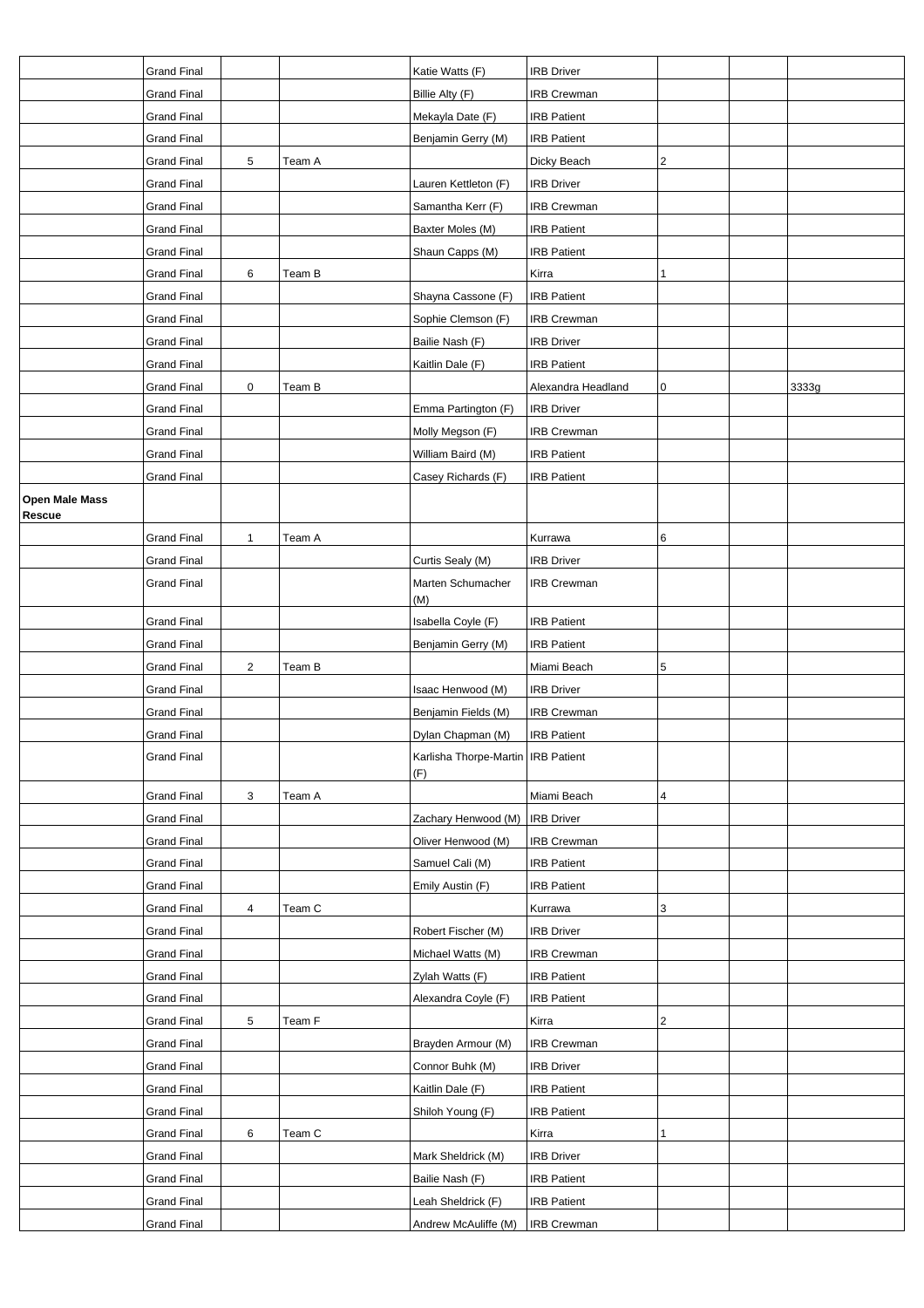|                          | <b>Grand Final</b> |              |        | Katie Watts (F)                             | <b>IRB Driver</b>  |   |       |
|--------------------------|--------------------|--------------|--------|---------------------------------------------|--------------------|---|-------|
|                          | Grand Final        |              |        | Billie Alty (F)                             | <b>IRB Crewman</b> |   |       |
|                          | <b>Grand Final</b> |              |        | Mekayla Date (F)                            | <b>IRB Patient</b> |   |       |
|                          | <b>Grand Final</b> |              |        | Benjamin Gerry (M)                          | <b>IRB Patient</b> |   |       |
|                          | <b>Grand Final</b> | $\sqrt{5}$   | Team A |                                             | Dicky Beach        | 2 |       |
|                          | <b>Grand Final</b> |              |        | Lauren Kettleton (F)                        | <b>IRB Driver</b>  |   |       |
|                          | <b>Grand Final</b> |              |        | Samantha Kerr (F)                           | IRB Crewman        |   |       |
|                          | <b>Grand Final</b> |              |        | Baxter Moles (M)                            | <b>IRB Patient</b> |   |       |
|                          | <b>Grand Final</b> |              |        | Shaun Capps (M)                             | <b>IRB Patient</b> |   |       |
|                          | Grand Final        | 6            | Team B |                                             | Kirra              | 1 |       |
|                          | <b>Grand Final</b> |              |        | Shayna Cassone (F)                          | <b>IRB Patient</b> |   |       |
|                          | <b>Grand Final</b> |              |        | Sophie Clemson (F)                          | <b>IRB Crewman</b> |   |       |
|                          | <b>Grand Final</b> |              |        | Bailie Nash (F)                             | <b>IRB Driver</b>  |   |       |
|                          | <b>Grand Final</b> |              |        | Kaitlin Dale (F)                            | <b>IRB Patient</b> |   |       |
|                          | Grand Final        | $\pmb{0}$    | Team B |                                             | Alexandra Headland | 0 | 3333g |
|                          | <b>Grand Final</b> |              |        | Emma Partington (F)                         | <b>IRB Driver</b>  |   |       |
|                          | <b>Grand Final</b> |              |        | Molly Megson (F)                            | <b>IRB Crewman</b> |   |       |
|                          | <b>Grand Final</b> |              |        | William Baird (M)                           | <b>IRB Patient</b> |   |       |
|                          | <b>Grand Final</b> |              |        | Casey Richards (F)                          | <b>IRB Patient</b> |   |       |
| Open Male Mass<br>Rescue |                    |              |        |                                             |                    |   |       |
|                          | <b>Grand Final</b> | $\mathbf{1}$ | Team A |                                             | Kurrawa            | 6 |       |
|                          | <b>Grand Final</b> |              |        | Curtis Sealy (M)                            | <b>IRB Driver</b>  |   |       |
|                          | <b>Grand Final</b> |              |        | Marten Schumacher<br>(M)                    | <b>IRB Crewman</b> |   |       |
|                          | <b>Grand Final</b> |              |        | Isabella Coyle (F)                          | <b>IRB Patient</b> |   |       |
|                          | <b>Grand Final</b> |              |        | Benjamin Gerry (M)                          | <b>IRB Patient</b> |   |       |
|                          | Grand Final        | 2            | Team B |                                             | Miami Beach        | 5 |       |
|                          | <b>Grand Final</b> |              |        | Isaac Henwood (M)                           | <b>IRB Driver</b>  |   |       |
|                          | <b>Grand Final</b> |              |        | Benjamin Fields (M)                         | <b>IRB Crewman</b> |   |       |
|                          | <b>Grand Final</b> |              |        | Dylan Chapman (M)                           | <b>IRB Patient</b> |   |       |
|                          | Grand Final        |              |        | Karlisha Thorpe-Martin   IRB Patient<br>(F) |                    |   |       |
|                          | <b>Grand Final</b> | 3            | Team A |                                             | Miami Beach        | 4 |       |
|                          | <b>Grand Final</b> |              |        | Zachary Henwood (M)                         | <b>IRB</b> Driver  |   |       |
|                          | <b>Grand Final</b> |              |        | Oliver Henwood (M)                          | <b>IRB Crewman</b> |   |       |
|                          | Grand Final        |              |        | Samuel Cali (M)                             | <b>IRB Patient</b> |   |       |
|                          | <b>Grand Final</b> |              |        | Emily Austin (F)                            | <b>IRB Patient</b> |   |       |
|                          | <b>Grand Final</b> | 4            | Team C |                                             | Kurrawa            | 3 |       |
|                          | <b>Grand Final</b> |              |        | Robert Fischer (M)                          | <b>IRB Driver</b>  |   |       |
|                          | <b>Grand Final</b> |              |        | Michael Watts (M)                           | <b>IRB Crewman</b> |   |       |
|                          | <b>Grand Final</b> |              |        | Zylah Watts (F)                             | <b>IRB Patient</b> |   |       |
|                          | <b>Grand Final</b> |              |        | Alexandra Coyle (F)                         | <b>IRB Patient</b> |   |       |
|                          | <b>Grand Final</b> | 5            | Team F |                                             | Kirra              | 2 |       |
|                          | <b>Grand Final</b> |              |        | Brayden Armour (M)                          | <b>IRB Crewman</b> |   |       |
|                          | <b>Grand Final</b> |              |        | Connor Buhk (M)                             | <b>IRB Driver</b>  |   |       |
|                          | <b>Grand Final</b> |              |        | Kaitlin Dale (F)                            | <b>IRB Patient</b> |   |       |
|                          | <b>Grand Final</b> |              |        | Shiloh Young (F)                            | <b>IRB Patient</b> |   |       |
|                          | <b>Grand Final</b> | 6            | Team C |                                             | Kirra              | 1 |       |
|                          | <b>Grand Final</b> |              |        | Mark Sheldrick (M)                          | <b>IRB Driver</b>  |   |       |
|                          | Grand Final        |              |        | Bailie Nash (F)                             | <b>IRB Patient</b> |   |       |
|                          | <b>Grand Final</b> |              |        | Leah Sheldrick (F)                          | <b>IRB Patient</b> |   |       |
|                          | <b>Grand Final</b> |              |        | Andrew McAuliffe (M)                        | <b>IRB</b> Crewman |   |       |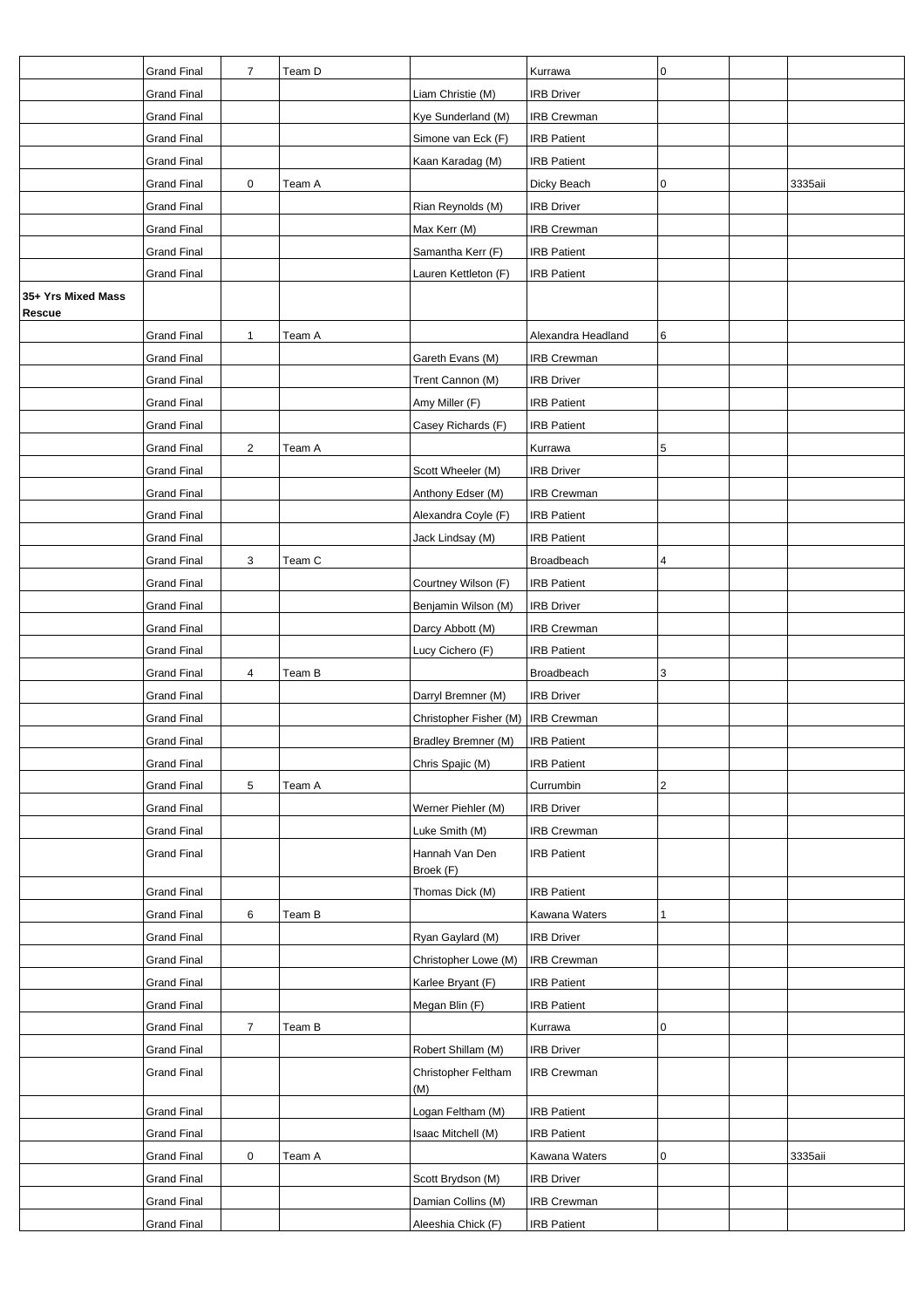|                    | <b>Grand Final</b>                       | $\overline{7}$ | Team D |                            | Kurrawa                                  | 0          |         |
|--------------------|------------------------------------------|----------------|--------|----------------------------|------------------------------------------|------------|---------|
|                    | <b>Grand Final</b>                       |                |        | Liam Christie (M)          | <b>IRB Driver</b>                        |            |         |
|                    | <b>Grand Final</b>                       |                |        | Kye Sunderland (M)         | <b>IRB Crewman</b>                       |            |         |
|                    | <b>Grand Final</b>                       |                |        | Simone van Eck (F)         | <b>IRB Patient</b>                       |            |         |
|                    | <b>Grand Final</b>                       |                |        | Kaan Karadag (M)           | <b>IRB Patient</b>                       |            |         |
|                    | <b>Grand Final</b>                       | 0              | Team A |                            | Dicky Beach                              | 0          | 3335aii |
|                    | <b>Grand Final</b>                       |                |        | Rian Reynolds (M)          | <b>IRB Driver</b>                        |            |         |
|                    | <b>Grand Final</b>                       |                |        | Max Kerr (M)               | <b>IRB Crewman</b>                       |            |         |
|                    | <b>Grand Final</b>                       |                |        | Samantha Kerr (F)          | <b>IRB Patient</b>                       |            |         |
|                    | <b>Grand Final</b>                       |                |        | Lauren Kettleton (F)       | <b>IRB Patient</b>                       |            |         |
| 35+ Yrs Mixed Mass |                                          |                |        |                            |                                          |            |         |
| Rescue             |                                          |                |        |                            |                                          |            |         |
|                    | <b>Grand Final</b>                       | 1              | Team A |                            | Alexandra Headland                       | 6          |         |
|                    | <b>Grand Final</b>                       |                |        | Gareth Evans (M)           | <b>IRB Crewman</b>                       |            |         |
|                    | <b>Grand Final</b>                       |                |        | Trent Cannon (M)           | <b>IRB Driver</b>                        |            |         |
|                    | <b>Grand Final</b>                       |                |        | Amy Miller (F)             | <b>IRB Patient</b>                       |            |         |
|                    | <b>Grand Final</b>                       |                |        | Casey Richards (F)         | <b>IRB Patient</b>                       |            |         |
|                    | <b>Grand Final</b>                       | 2              | Team A |                            | Kurrawa                                  | 5          |         |
|                    | <b>Grand Final</b>                       |                |        | Scott Wheeler (M)          | <b>IRB Driver</b>                        |            |         |
|                    | <b>Grand Final</b>                       |                |        | Anthony Edser (M)          | <b>IRB Crewman</b>                       |            |         |
|                    | <b>Grand Final</b>                       |                |        | Alexandra Coyle (F)        | <b>IRB Patient</b>                       |            |         |
|                    | <b>Grand Final</b>                       |                |        | Jack Lindsay (M)           | <b>IRB Patient</b>                       |            |         |
|                    | <b>Grand Final</b>                       | 3              | Team C |                            | Broadbeach                               | 4          |         |
|                    | <b>Grand Final</b>                       |                |        | Courtney Wilson (F)        | <b>IRB Patient</b>                       |            |         |
|                    | <b>Grand Final</b>                       |                |        | Benjamin Wilson (M)        | <b>IRB Driver</b>                        |            |         |
|                    | <b>Grand Final</b>                       |                |        | Darcy Abbott (M)           | IRB Crewman                              |            |         |
|                    | <b>Grand Final</b>                       |                |        | Lucy Cichero (F)           | <b>IRB Patient</b>                       |            |         |
|                    | <b>Grand Final</b>                       | 4              | Team B |                            | Broadbeach                               | 3          |         |
|                    | <b>Grand Final</b>                       |                |        | Darryl Bremner (M)         | <b>IRB Driver</b>                        |            |         |
|                    | <b>Grand Final</b>                       |                |        | Christopher Fisher (M)     | IRB Crewman                              |            |         |
|                    | <b>Grand Final</b>                       |                |        | Bradley Bremner (M)        | <b>IRB Patient</b><br><b>IRB Patient</b> |            |         |
|                    | <b>Grand Final</b><br><b>Grand Final</b> | 5              | Team A | Chris Spajic (M)           | Currumbin                                | $\sqrt{2}$ |         |
|                    | <b>Grand Final</b>                       |                |        | Werner Piehler (M)         | <b>IRB Driver</b>                        |            |         |
|                    | <b>Grand Final</b>                       |                |        | Luke Smith (M)             | <b>IRB Crewman</b>                       |            |         |
|                    | Grand Final                              |                |        | Hannah Van Den             | <b>IRB Patient</b>                       |            |         |
|                    |                                          |                |        | Broek (F)                  |                                          |            |         |
|                    | <b>Grand Final</b>                       |                |        | Thomas Dick (M)            | <b>IRB Patient</b>                       |            |         |
|                    | <b>Grand Final</b>                       | 6              | Team B |                            | Kawana Waters                            | 1          |         |
|                    | <b>Grand Final</b>                       |                |        | Ryan Gaylard (M)           | <b>IRB Driver</b>                        |            |         |
|                    | <b>Grand Final</b>                       |                |        | Christopher Lowe (M)       | <b>IRB Crewman</b>                       |            |         |
|                    | <b>Grand Final</b>                       |                |        | Karlee Bryant (F)          | <b>IRB Patient</b>                       |            |         |
|                    | <b>Grand Final</b>                       |                |        | Megan Blin (F)             | <b>IRB Patient</b>                       |            |         |
|                    | <b>Grand Final</b>                       | $\overline{7}$ | Team B |                            | Kurrawa                                  | 0          |         |
|                    | <b>Grand Final</b>                       |                |        | Robert Shillam (M)         | <b>IRB Driver</b>                        |            |         |
|                    | Grand Final                              |                |        | Christopher Feltham<br>(M) | <b>IRB Crewman</b>                       |            |         |
|                    | <b>Grand Final</b>                       |                |        | Logan Feltham (M)          | <b>IRB Patient</b>                       |            |         |
|                    | <b>Grand Final</b>                       |                |        | Isaac Mitchell (M)         | <b>IRB Patient</b>                       |            |         |
|                    | <b>Grand Final</b>                       | 0              | Team A |                            | Kawana Waters                            | 0          | 3335aii |
|                    | <b>Grand Final</b>                       |                |        | Scott Brydson (M)          | <b>IRB Driver</b>                        |            |         |
|                    | Grand Final                              |                |        | Damian Collins (M)         | <b>IRB Crewman</b>                       |            |         |
|                    | <b>Grand Final</b>                       |                |        | Aleeshia Chick (F)         | <b>IRB Patient</b>                       |            |         |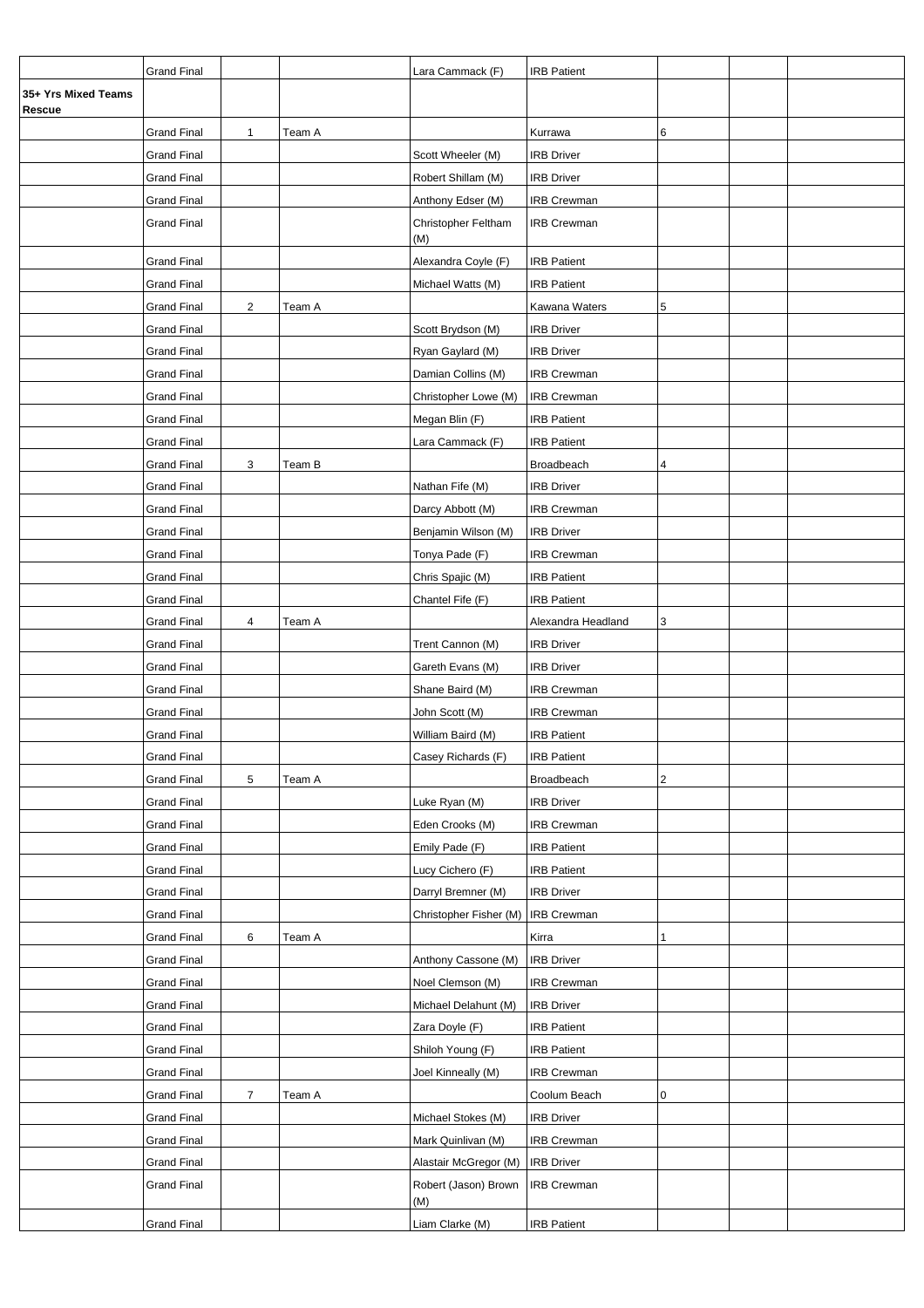|                               | <b>Grand Final</b> |                |        | Lara Cammack (F)            | <b>IRB Patient</b> |                |  |
|-------------------------------|--------------------|----------------|--------|-----------------------------|--------------------|----------------|--|
| 35+ Yrs Mixed Teams<br>Rescue |                    |                |        |                             |                    |                |  |
|                               | <b>Grand Final</b> | $\mathbf{1}$   | Team A |                             | Kurrawa            | 6              |  |
|                               | <b>Grand Final</b> |                |        | Scott Wheeler (M)           | <b>IRB Driver</b>  |                |  |
|                               | <b>Grand Final</b> |                |        | Robert Shillam (M)          | <b>IRB Driver</b>  |                |  |
|                               | <b>Grand Final</b> |                |        | Anthony Edser (M)           | <b>IRB Crewman</b> |                |  |
|                               | Grand Final        |                |        | Christopher Feltham<br>(M)  | <b>IRB Crewman</b> |                |  |
|                               | <b>Grand Final</b> |                |        | Alexandra Coyle (F)         | <b>IRB Patient</b> |                |  |
|                               | <b>Grand Final</b> |                |        | Michael Watts (M)           | <b>IRB Patient</b> |                |  |
|                               | <b>Grand Final</b> | $\overline{2}$ | Team A |                             | Kawana Waters      | 5              |  |
|                               | <b>Grand Final</b> |                |        | Scott Brydson (M)           | <b>IRB Driver</b>  |                |  |
|                               | <b>Grand Final</b> |                |        | Ryan Gaylard (M)            | <b>IRB Driver</b>  |                |  |
|                               | <b>Grand Final</b> |                |        | Damian Collins (M)          | IRB Crewman        |                |  |
|                               | <b>Grand Final</b> |                |        | Christopher Lowe (M)        | <b>IRB Crewman</b> |                |  |
|                               | <b>Grand Final</b> |                |        | Megan Blin (F)              | <b>IRB Patient</b> |                |  |
|                               | <b>Grand Final</b> |                |        | Lara Cammack (F)            | <b>IRB Patient</b> |                |  |
|                               | <b>Grand Final</b> | 3              | Team B |                             | Broadbeach         | 4              |  |
|                               | <b>Grand Final</b> |                |        | Nathan Fife (M)             | <b>IRB Driver</b>  |                |  |
|                               | <b>Grand Final</b> |                |        | Darcy Abbott (M)            | <b>IRB Crewman</b> |                |  |
|                               | <b>Grand Final</b> |                |        | Benjamin Wilson (M)         | <b>IRB Driver</b>  |                |  |
|                               | <b>Grand Final</b> |                |        | Tonya Pade (F)              | <b>IRB Crewman</b> |                |  |
|                               | Grand Final        |                |        | Chris Spajic (M)            | <b>IRB Patient</b> |                |  |
|                               | <b>Grand Final</b> |                |        | Chantel Fife (F)            | <b>IRB Patient</b> |                |  |
|                               | <b>Grand Final</b> | 4              | Team A |                             | Alexandra Headland | 3              |  |
|                               | Grand Final        |                |        | Trent Cannon (M)            | <b>IRB Driver</b>  |                |  |
|                               | <b>Grand Final</b> |                |        | Gareth Evans (M)            | <b>IRB Driver</b>  |                |  |
|                               | <b>Grand Final</b> |                |        | Shane Baird (M)             | <b>IRB Crewman</b> |                |  |
|                               | <b>Grand Final</b> |                |        | John Scott (M)              | <b>IRB Crewman</b> |                |  |
|                               | Grand Final        |                |        | William Baird (M)           | <b>IRB Patient</b> |                |  |
|                               | Grand Final        |                |        | Casey Richards (F)          | <b>IRB Patient</b> |                |  |
|                               | <b>Grand Final</b> | 5              | Team A |                             | Broadbeach         | $\overline{2}$ |  |
|                               | <b>Grand Final</b> |                |        | Luke Ryan (M)               | <b>IRB Driver</b>  |                |  |
|                               | <b>Grand Final</b> |                |        | Eden Crooks (M)             | <b>IRB Crewman</b> |                |  |
|                               | <b>Grand Final</b> |                |        | Emily Pade (F)              | <b>IRB Patient</b> |                |  |
|                               | <b>Grand Final</b> |                |        | Lucy Cichero (F)            | <b>IRB Patient</b> |                |  |
|                               | <b>Grand Final</b> |                |        | Darryl Bremner (M)          | <b>IRB Driver</b>  |                |  |
|                               | <b>Grand Final</b> |                |        | Christopher Fisher (M)      | <b>IRB Crewman</b> |                |  |
|                               | <b>Grand Final</b> | 6              | Team A |                             | Kirra              | 1              |  |
|                               | <b>Grand Final</b> |                |        | Anthony Cassone (M)         | <b>IRB Driver</b>  |                |  |
|                               | <b>Grand Final</b> |                |        | Noel Clemson (M)            | <b>IRB Crewman</b> |                |  |
|                               | <b>Grand Final</b> |                |        | Michael Delahunt (M)        | <b>IRB Driver</b>  |                |  |
|                               | <b>Grand Final</b> |                |        | Zara Doyle (F)              | <b>IRB Patient</b> |                |  |
|                               | <b>Grand Final</b> |                |        | Shiloh Young (F)            | <b>IRB Patient</b> |                |  |
|                               | <b>Grand Final</b> |                |        | Joel Kinneally (M)          | <b>IRB Crewman</b> |                |  |
|                               | <b>Grand Final</b> | 7              | Team A |                             | Coolum Beach       | 0              |  |
|                               | <b>Grand Final</b> |                |        | Michael Stokes (M)          | <b>IRB Driver</b>  |                |  |
|                               | <b>Grand Final</b> |                |        | Mark Quinlivan (M)          | <b>IRB Crewman</b> |                |  |
|                               | <b>Grand Final</b> |                |        | Alastair McGregor (M)       | <b>IRB Driver</b>  |                |  |
|                               | <b>Grand Final</b> |                |        | Robert (Jason) Brown<br>(M) | <b>IRB Crewman</b> |                |  |
|                               | <b>Grand Final</b> |                |        | Liam Clarke (M)             | <b>IRB Patient</b> |                |  |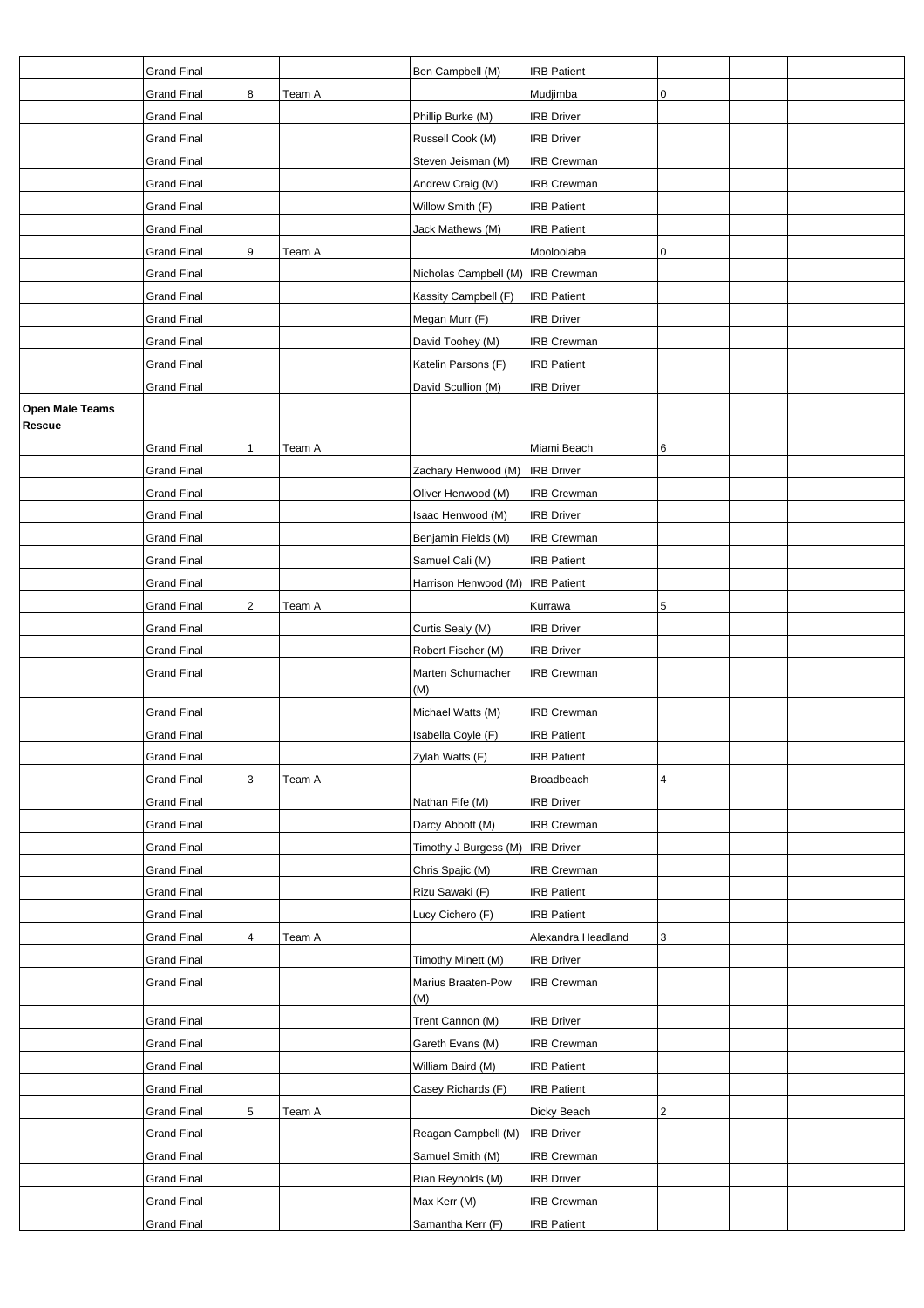|                        | <b>Grand Final</b> |                |        | Ben Campbell (M)                    | <b>IRB Patient</b> |   |  |
|------------------------|--------------------|----------------|--------|-------------------------------------|--------------------|---|--|
|                        | <b>Grand Final</b> | 8              | Team A |                                     | Mudjimba           | 0 |  |
|                        | <b>Grand Final</b> |                |        | Phillip Burke (M)                   | <b>IRB Driver</b>  |   |  |
|                        | <b>Grand Final</b> |                |        | Russell Cook (M)                    | <b>IRB Driver</b>  |   |  |
|                        | <b>Grand Final</b> |                |        | Steven Jeisman (M)                  | <b>IRB Crewman</b> |   |  |
|                        | <b>Grand Final</b> |                |        | Andrew Craig (M)                    | <b>IRB Crewman</b> |   |  |
|                        | <b>Grand Final</b> |                |        | Willow Smith (F)                    | <b>IRB Patient</b> |   |  |
|                        | <b>Grand Final</b> |                |        | Jack Mathews (M)                    | <b>IRB Patient</b> |   |  |
|                        | <b>Grand Final</b> | 9              | Team A |                                     | Mooloolaba         | 0 |  |
|                        | <b>Grand Final</b> |                |        | Nicholas Campbell (M)   IRB Crewman |                    |   |  |
|                        | <b>Grand Final</b> |                |        | Kassity Campbell (F)                | <b>IRB Patient</b> |   |  |
|                        | Grand Final        |                |        | Megan Murr (F)                      | <b>IRB Driver</b>  |   |  |
|                        | <b>Grand Final</b> |                |        | David Toohey (M)                    | <b>IRB Crewman</b> |   |  |
|                        | <b>Grand Final</b> |                |        | Katelin Parsons (F)                 | <b>IRB Patient</b> |   |  |
|                        | <b>Grand Final</b> |                |        | David Scullion (M)                  | <b>IRB Driver</b>  |   |  |
| <b>Open Male Teams</b> |                    |                |        |                                     |                    |   |  |
| Rescue                 |                    |                |        |                                     |                    |   |  |
|                        | <b>Grand Final</b> | 1              | Team A |                                     | Miami Beach        | 6 |  |
|                        | <b>Grand Final</b> |                |        | Zachary Henwood (M)                 | <b>IRB</b> Driver  |   |  |
|                        | Grand Final        |                |        | Oliver Henwood (M)                  | <b>IRB Crewman</b> |   |  |
|                        | <b>Grand Final</b> |                |        | Isaac Henwood (M)                   | <b>IRB Driver</b>  |   |  |
|                        | <b>Grand Final</b> |                |        | Benjamin Fields (M)                 | <b>IRB Crewman</b> |   |  |
|                        | <b>Grand Final</b> |                |        | Samuel Cali (M)                     | <b>IRB Patient</b> |   |  |
|                        | <b>Grand Final</b> |                |        | Harrison Henwood (M)   IRB Patient  |                    |   |  |
|                        | <b>Grand Final</b> | $\overline{2}$ | Team A |                                     | Kurrawa            | 5 |  |
|                        | <b>Grand Final</b> |                |        | Curtis Sealy (M)                    | <b>IRB Driver</b>  |   |  |
|                        | <b>Grand Final</b> |                |        | Robert Fischer (M)                  | <b>IRB Driver</b>  |   |  |
|                        | Grand Final        |                |        | Marten Schumacher<br>(M)            | <b>IRB Crewman</b> |   |  |
|                        | <b>Grand Final</b> |                |        | Michael Watts (M)                   | <b>IRB</b> Crewman |   |  |
|                        | <b>Grand Final</b> |                |        | Isabella Coyle (F)                  | <b>IRB Patient</b> |   |  |
|                        | Grand Final        |                |        | Zylah Watts (F)                     | <b>IRB Patient</b> |   |  |
|                        | <b>Grand Final</b> | 3              | Team A |                                     | Broadbeach         | 4 |  |
|                        | <b>Grand Final</b> |                |        | Nathan Fife (M)                     | <b>IRB Driver</b>  |   |  |
|                        | <b>Grand Final</b> |                |        | Darcy Abbott (M)                    | IRB Crewman        |   |  |
|                        | <b>Grand Final</b> |                |        | Timothy J Burgess (M)   IRB Driver  |                    |   |  |
|                        | <b>Grand Final</b> |                |        | Chris Spajic (M)                    | <b>IRB Crewman</b> |   |  |
|                        | <b>Grand Final</b> |                |        | Rizu Sawaki (F)                     | <b>IRB Patient</b> |   |  |
|                        | <b>Grand Final</b> |                |        | Lucy Cichero (F)                    | <b>IRB Patient</b> |   |  |
|                        | <b>Grand Final</b> | 4              | Team A |                                     | Alexandra Headland | 3 |  |
|                        | <b>Grand Final</b> |                |        | Timothy Minett (M)                  | <b>IRB Driver</b>  |   |  |
|                        | Grand Final        |                |        | Marius Braaten-Pow<br>(M)           | <b>IRB Crewman</b> |   |  |
|                        | Grand Final        |                |        | Trent Cannon (M)                    | <b>IRB Driver</b>  |   |  |
|                        | <b>Grand Final</b> |                |        | Gareth Evans (M)                    | <b>IRB Crewman</b> |   |  |
|                        | <b>Grand Final</b> |                |        | William Baird (M)                   | <b>IRB Patient</b> |   |  |
|                        | <b>Grand Final</b> |                |        | Casey Richards (F)                  | <b>IRB Patient</b> |   |  |
|                        | <b>Grand Final</b> | 5              | Team A |                                     | Dicky Beach        | 2 |  |
|                        | <b>Grand Final</b> |                |        | Reagan Campbell (M)                 | <b>IRB Driver</b>  |   |  |
|                        | <b>Grand Final</b> |                |        | Samuel Smith (M)                    | <b>IRB Crewman</b> |   |  |
|                        | Grand Final        |                |        | Rian Reynolds (M)                   | <b>IRB Driver</b>  |   |  |
|                        | <b>Grand Final</b> |                |        | Max Kerr (M)                        | IRB Crewman        |   |  |
|                        | <b>Grand Final</b> |                |        | Samantha Kerr (F)                   | <b>IRB Patient</b> |   |  |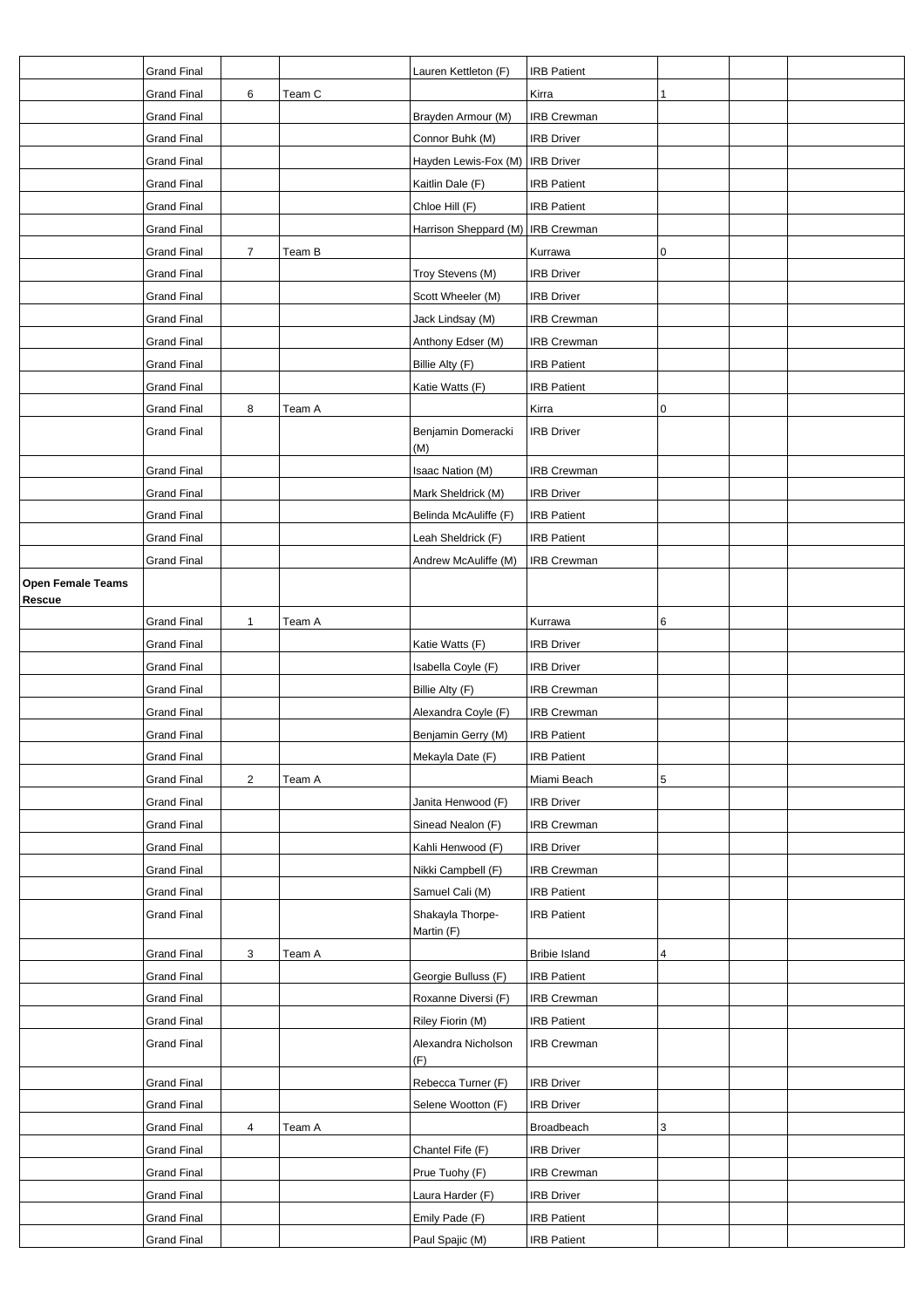|                                    | <b>Grand Final</b> |                |        | Lauren Kettleton (F)                | <b>IRB Patient</b>   |                |  |
|------------------------------------|--------------------|----------------|--------|-------------------------------------|----------------------|----------------|--|
|                                    | <b>Grand Final</b> | 6              | Team C |                                     | Kirra                | $\mathbf{1}$   |  |
|                                    | <b>Grand Final</b> |                |        | Brayden Armour (M)                  | <b>IRB Crewman</b>   |                |  |
|                                    | <b>Grand Final</b> |                |        | Connor Buhk (M)                     | <b>IRB Driver</b>    |                |  |
|                                    | <b>Grand Final</b> |                |        | Hayden Lewis-Fox (M)   IRB Driver   |                      |                |  |
|                                    | <b>Grand Final</b> |                |        | Kaitlin Dale (F)                    | <b>IRB Patient</b>   |                |  |
|                                    | <b>Grand Final</b> |                |        | Chloe Hill (F)                      | <b>IRB Patient</b>   |                |  |
|                                    | <b>Grand Final</b> |                |        | Harrison Sheppard (M)   IRB Crewman |                      |                |  |
|                                    | <b>Grand Final</b> | $\overline{7}$ | Team B |                                     | Kurrawa              | 0              |  |
|                                    | <b>Grand Final</b> |                |        | Troy Stevens (M)                    | <b>IRB Driver</b>    |                |  |
|                                    | <b>Grand Final</b> |                |        | Scott Wheeler (M)                   | <b>IRB Driver</b>    |                |  |
|                                    | <b>Grand Final</b> |                |        | Jack Lindsay (M)                    | <b>IRB Crewman</b>   |                |  |
|                                    | <b>Grand Final</b> |                |        | Anthony Edser (M)                   | <b>IRB Crewman</b>   |                |  |
|                                    | <b>Grand Final</b> |                |        | Billie Alty (F)                     | <b>IRB Patient</b>   |                |  |
|                                    | <b>Grand Final</b> |                |        | Katie Watts (F)                     | <b>IRB Patient</b>   |                |  |
|                                    | <b>Grand Final</b> | 8              | Team A |                                     | Kirra                | 0              |  |
|                                    | <b>Grand Final</b> |                |        | Benjamin Domeracki<br>(M)           | <b>IRB Driver</b>    |                |  |
|                                    | <b>Grand Final</b> |                |        | Isaac Nation (M)                    | <b>IRB Crewman</b>   |                |  |
|                                    | <b>Grand Final</b> |                |        | Mark Sheldrick (M)                  | <b>IRB Driver</b>    |                |  |
|                                    | <b>Grand Final</b> |                |        | Belinda McAuliffe (F)               | <b>IRB Patient</b>   |                |  |
|                                    | <b>Grand Final</b> |                |        | Leah Sheldrick (F)                  | <b>IRB Patient</b>   |                |  |
|                                    | <b>Grand Final</b> |                |        | Andrew McAuliffe (M)                | <b>IRB Crewman</b>   |                |  |
| <b>Open Female Teams</b><br>Rescue |                    |                |        |                                     |                      |                |  |
|                                    | <b>Grand Final</b> | $\mathbf{1}$   | Team A |                                     | Kurrawa              | 6              |  |
|                                    | <b>Grand Final</b> |                |        | Katie Watts (F)                     | <b>IRB Driver</b>    |                |  |
|                                    | <b>Grand Final</b> |                |        | Isabella Coyle (F)                  | <b>IRB Driver</b>    |                |  |
|                                    | <b>Grand Final</b> |                |        | Billie Alty (F)                     | <b>IRB Crewman</b>   |                |  |
|                                    | <b>Grand Final</b> |                |        | Alexandra Coyle (F)                 | <b>IRB Crewman</b>   |                |  |
|                                    | <b>Grand Final</b> |                |        | Benjamin Gerry (M)                  | <b>IRB Patient</b>   |                |  |
|                                    | Grand Final        |                |        | Mekayla Date (F)                    | <b>IRB Patient</b>   |                |  |
|                                    | <b>Grand Final</b> | $\overline{2}$ | Team A |                                     | Miami Beach          | 5              |  |
|                                    | <b>Grand Final</b> |                |        | Janita Henwood (F)                  | <b>IRB Driver</b>    |                |  |
|                                    | <b>Grand Final</b> |                |        | Sinead Nealon (F)                   | <b>IRB Crewman</b>   |                |  |
|                                    | <b>Grand Final</b> |                |        | Kahli Henwood (F)                   | <b>IRB Driver</b>    |                |  |
|                                    | <b>Grand Final</b> |                |        | Nikki Campbell (F)                  | <b>IRB Crewman</b>   |                |  |
|                                    | <b>Grand Final</b> |                |        | Samuel Cali (M)                     | <b>IRB Patient</b>   |                |  |
|                                    | <b>Grand Final</b> |                |        | Shakayla Thorpe-<br>Martin (F)      | <b>IRB Patient</b>   |                |  |
|                                    | <b>Grand Final</b> | 3              | Team A |                                     | <b>Bribie Island</b> | $\overline{4}$ |  |
|                                    | <b>Grand Final</b> |                |        | Georgie Bulluss (F)                 | <b>IRB Patient</b>   |                |  |
|                                    | <b>Grand Final</b> |                |        | Roxanne Diversi (F)                 | <b>IRB Crewman</b>   |                |  |
|                                    | <b>Grand Final</b> |                |        | Riley Fiorin (M)                    | <b>IRB Patient</b>   |                |  |
|                                    | <b>Grand Final</b> |                |        | Alexandra Nicholson<br>(F)          | <b>IRB Crewman</b>   |                |  |
|                                    | <b>Grand Final</b> |                |        | Rebecca Turner (F)                  | <b>IRB Driver</b>    |                |  |
|                                    | <b>Grand Final</b> |                |        | Selene Wootton (F)                  | <b>IRB Driver</b>    |                |  |
|                                    | <b>Grand Final</b> | 4              | Team A |                                     | Broadbeach           | 3              |  |
|                                    | <b>Grand Final</b> |                |        | Chantel Fife (F)                    | <b>IRB Driver</b>    |                |  |
|                                    | <b>Grand Final</b> |                |        | Prue Tuohy (F)                      | <b>IRB Crewman</b>   |                |  |
|                                    | <b>Grand Final</b> |                |        | Laura Harder (F)                    | <b>IRB Driver</b>    |                |  |
|                                    | <b>Grand Final</b> |                |        | Emily Pade (F)                      | <b>IRB Patient</b>   |                |  |
|                                    | <b>Grand Final</b> |                |        | Paul Spajic (M)                     | <b>IRB Patient</b>   |                |  |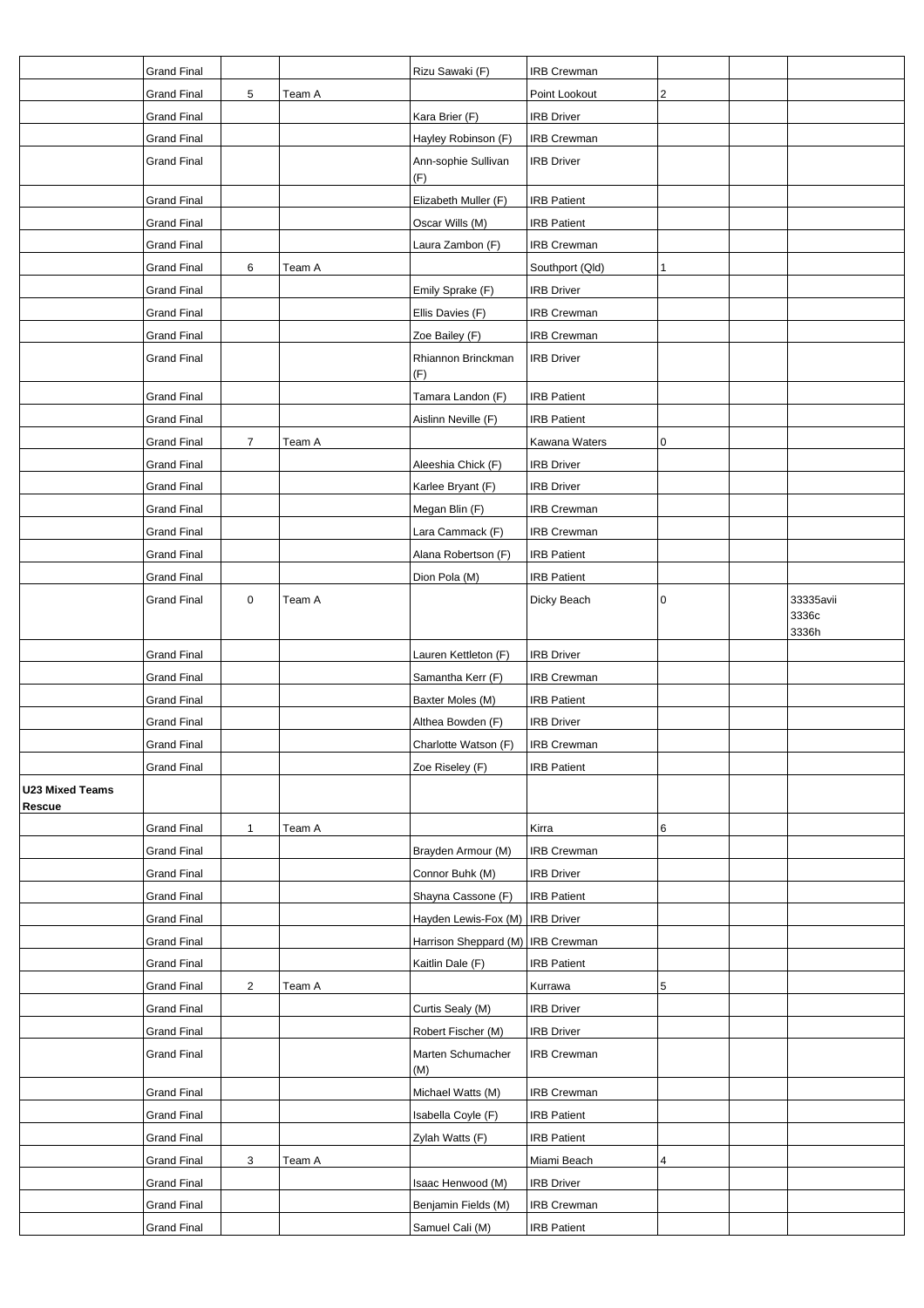|                                  | <b>Grand Final</b>                       |                |        | Rizu Sawaki (F)                     | <b>IRB Crewman</b>           |   |                             |
|----------------------------------|------------------------------------------|----------------|--------|-------------------------------------|------------------------------|---|-----------------------------|
|                                  | <b>Grand Final</b>                       | 5              | Team A |                                     | Point Lookout                | 2 |                             |
|                                  | <b>Grand Final</b>                       |                |        | Kara Brier (F)                      | <b>IRB Driver</b>            |   |                             |
|                                  | <b>Grand Final</b>                       |                |        | Hayley Robinson (F)                 | <b>IRB Crewman</b>           |   |                             |
|                                  | <b>Grand Final</b>                       |                |        | Ann-sophie Sullivan                 | <b>IRB Driver</b>            |   |                             |
|                                  |                                          |                |        | (F)                                 |                              |   |                             |
|                                  | <b>Grand Final</b>                       |                |        | Elizabeth Muller (F)                | <b>IRB Patient</b>           |   |                             |
|                                  | <b>Grand Final</b>                       |                |        | Oscar Wills (M)                     | <b>IRB Patient</b>           |   |                             |
|                                  | <b>Grand Final</b>                       |                |        | Laura Zambon (F)                    | <b>IRB Crewman</b>           |   |                             |
|                                  | <b>Grand Final</b>                       | 6              | Team A |                                     | Southport (Qld)              | 1 |                             |
|                                  | <b>Grand Final</b>                       |                |        | Emily Sprake (F)                    | <b>IRB Driver</b>            |   |                             |
|                                  | <b>Grand Final</b>                       |                |        | Ellis Davies (F)                    | IRB Crewman                  |   |                             |
|                                  | <b>Grand Final</b>                       |                |        | Zoe Bailey (F)                      | IRB Crewman                  |   |                             |
|                                  | <b>Grand Final</b>                       |                |        | Rhiannon Brinckman<br>(F)           | <b>IRB Driver</b>            |   |                             |
|                                  | <b>Grand Final</b>                       |                |        | Tamara Landon (F)                   | <b>IRB Patient</b>           |   |                             |
|                                  | <b>Grand Final</b>                       |                |        | Aislinn Neville (F)                 | <b>IRB Patient</b>           |   |                             |
|                                  | <b>Grand Final</b>                       | $\overline{7}$ | Team A |                                     | Kawana Waters                | 0 |                             |
|                                  | <b>Grand Final</b>                       |                |        | Aleeshia Chick (F)                  | <b>IRB Driver</b>            |   |                             |
|                                  | <b>Grand Final</b>                       |                |        | Karlee Bryant (F)                   | <b>IRB Driver</b>            |   |                             |
|                                  | <b>Grand Final</b>                       |                |        | Megan Blin (F)                      | IRB Crewman                  |   |                             |
|                                  |                                          |                |        |                                     |                              |   |                             |
|                                  | <b>Grand Final</b>                       |                |        | Lara Cammack (F)                    | IRB Crewman                  |   |                             |
|                                  | <b>Grand Final</b>                       |                |        | Alana Robertson (F)                 | <b>IRB Patient</b>           |   |                             |
|                                  | <b>Grand Final</b>                       |                |        | Dion Pola (M)                       | <b>IRB Patient</b>           |   |                             |
|                                  | <b>Grand Final</b>                       | $\pmb{0}$      | Team A |                                     | Dicky Beach                  | 0 | 33335avii<br>3336c<br>3336h |
|                                  | <b>Grand Final</b>                       |                |        | Lauren Kettleton (F)                | <b>IRB Driver</b>            |   |                             |
|                                  | <b>Grand Final</b>                       |                |        | Samantha Kerr (F)                   | IRB Crewman                  |   |                             |
|                                  | <b>Grand Final</b>                       |                |        | Baxter Moles (M)                    | <b>IRB Patient</b>           |   |                             |
|                                  | <b>Grand Final</b>                       |                |        | Althea Bowden (F)                   | <b>IRB Driver</b>            |   |                             |
|                                  | <b>Grand Final</b>                       |                |        | Charlotte Watson (F)                | IRB Crewman                  |   |                             |
|                                  | <b>Grand Final</b>                       |                |        | Zoe Riseley (F)                     | <b>IRB Patient</b>           |   |                             |
| <b>U23 Mixed Teams</b><br>Rescue |                                          |                |        |                                     |                              |   |                             |
|                                  | <b>Grand Final</b>                       | $\mathbf{1}$   | Team A |                                     | Kirra                        | 6 |                             |
|                                  | <b>Grand Final</b>                       |                |        | Brayden Armour (M)                  | <b>IRB Crewman</b>           |   |                             |
|                                  | <b>Grand Final</b>                       |                |        | Connor Buhk (M)                     | <b>IRB Driver</b>            |   |                             |
|                                  | <b>Grand Final</b>                       |                |        | Shayna Cassone (F)                  | <b>IRB Patient</b>           |   |                             |
|                                  | <b>Grand Final</b>                       |                |        | Hayden Lewis-Fox (M)                | <b>IRB</b> Driver            |   |                             |
|                                  | <b>Grand Final</b>                       |                |        | Harrison Sheppard (M)   IRB Crewman |                              |   |                             |
|                                  |                                          |                |        |                                     |                              |   |                             |
|                                  | <b>Grand Final</b>                       |                |        | Kaitlin Dale (F)                    | <b>IRB Patient</b>           |   |                             |
|                                  | <b>Grand Final</b><br><b>Grand Final</b> | $\overline{2}$ | Team A | Curtis Sealy (M)                    | Kurrawa<br><b>IRB Driver</b> | 5 |                             |
|                                  | <b>Grand Final</b>                       |                |        | Robert Fischer (M)                  | <b>IRB Driver</b>            |   |                             |
|                                  | <b>Grand Final</b>                       |                |        | Marten Schumacher                   | <b>IRB Crewman</b>           |   |                             |
|                                  |                                          |                |        | (M)                                 |                              |   |                             |
|                                  | <b>Grand Final</b>                       |                |        | Michael Watts (M)                   | IRB Crewman                  |   |                             |
|                                  | <b>Grand Final</b>                       |                |        | Isabella Coyle (F)                  | <b>IRB Patient</b>           |   |                             |
|                                  | <b>Grand Final</b>                       |                |        | Zylah Watts (F)                     | <b>IRB Patient</b>           |   |                             |
|                                  | <b>Grand Final</b>                       | 3              | Team A |                                     | Miami Beach                  | 4 |                             |
|                                  | <b>Grand Final</b>                       |                |        | Isaac Henwood (M)                   | <b>IRB Driver</b>            |   |                             |
|                                  | <b>Grand Final</b>                       |                |        | Benjamin Fields (M)                 | IRB Crewman                  |   |                             |
|                                  | <b>Grand Final</b>                       |                |        | Samuel Cali (M)                     | <b>IRB Patient</b>           |   |                             |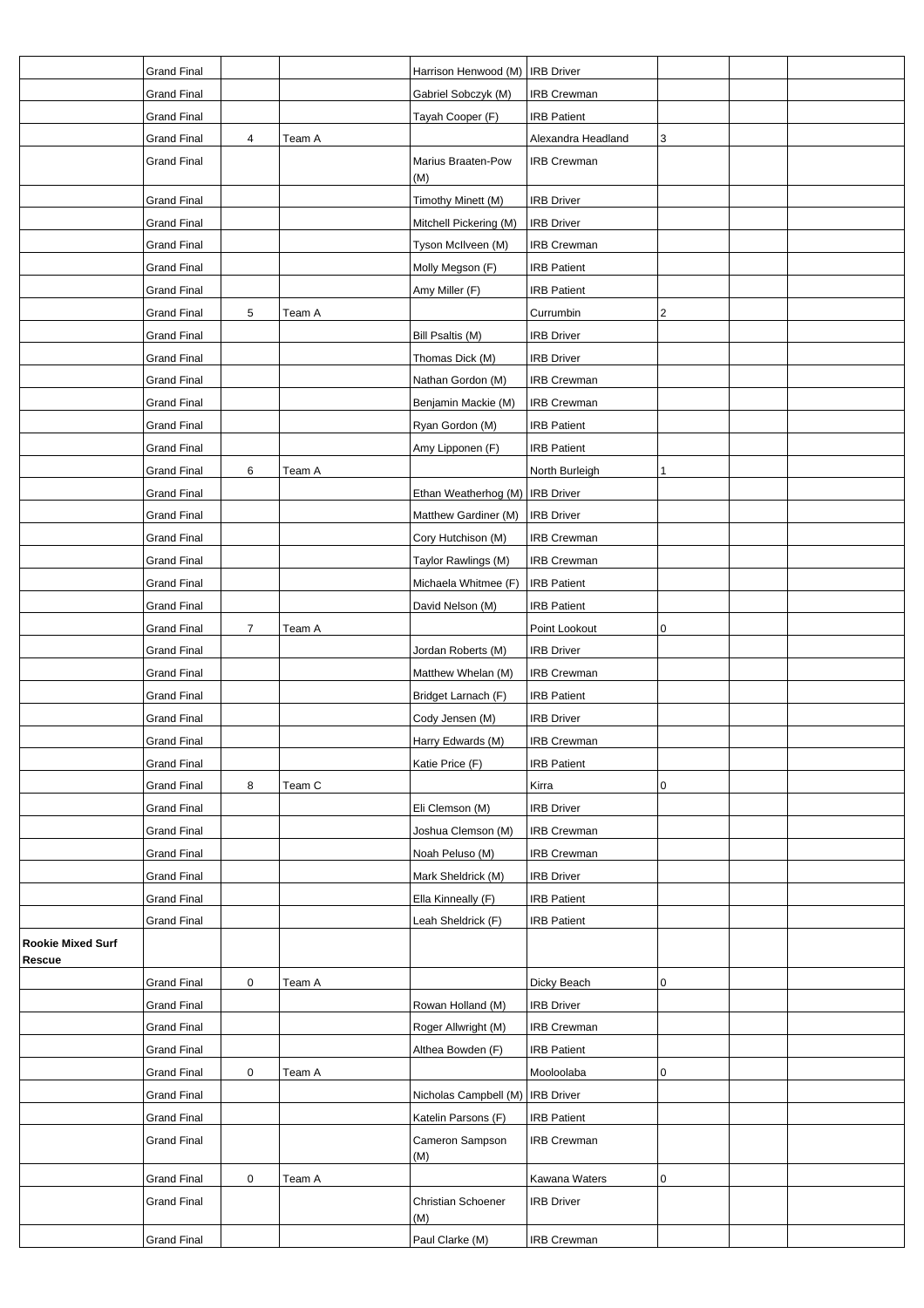|                                    | <b>Grand Final</b> |   |        | Harrison Henwood (M)            | <b>IRB Driver</b>  |   |  |
|------------------------------------|--------------------|---|--------|---------------------------------|--------------------|---|--|
|                                    | <b>Grand Final</b> |   |        | Gabriel Sobczyk (M)             | <b>IRB Crewman</b> |   |  |
|                                    | <b>Grand Final</b> |   |        | Tayah Cooper (F)                | <b>IRB Patient</b> |   |  |
|                                    | <b>Grand Final</b> | 4 | Team A |                                 | Alexandra Headland | 3 |  |
|                                    | <b>Grand Final</b> |   |        | Marius Braaten-Pow<br>(M)       | <b>IRB Crewman</b> |   |  |
|                                    | <b>Grand Final</b> |   |        | Timothy Minett (M)              | <b>IRB Driver</b>  |   |  |
|                                    | <b>Grand Final</b> |   |        | Mitchell Pickering (M)          | <b>IRB Driver</b>  |   |  |
|                                    | <b>Grand Final</b> |   |        | Tyson McIlveen (M)              | <b>IRB Crewman</b> |   |  |
|                                    | <b>Grand Final</b> |   |        | Molly Megson (F)                | <b>IRB Patient</b> |   |  |
|                                    | <b>Grand Final</b> |   |        | Amy Miller (F)                  | <b>IRB Patient</b> |   |  |
|                                    | <b>Grand Final</b> | 5 | Team A |                                 | Currumbin          | 2 |  |
|                                    | <b>Grand Final</b> |   |        | Bill Psaltis (M)                | <b>IRB Driver</b>  |   |  |
|                                    | <b>Grand Final</b> |   |        | Thomas Dick (M)                 | <b>IRB Driver</b>  |   |  |
|                                    |                    |   |        | Nathan Gordon (M)               | IRB Crewman        |   |  |
|                                    | <b>Grand Final</b> |   |        |                                 |                    |   |  |
|                                    | <b>Grand Final</b> |   |        | Benjamin Mackie (M)             | <b>IRB Crewman</b> |   |  |
|                                    | <b>Grand Final</b> |   |        | Ryan Gordon (M)                 | <b>IRB Patient</b> |   |  |
|                                    | <b>Grand Final</b> |   |        | Amy Lipponen (F)                | <b>IRB Patient</b> |   |  |
|                                    | <b>Grand Final</b> | 6 | Team A |                                 | North Burleigh     |   |  |
|                                    | <b>Grand Final</b> |   |        | Ethan Weatherhog (M) IRB Driver |                    |   |  |
|                                    | <b>Grand Final</b> |   |        | Matthew Gardiner (M)            | <b>IRB Driver</b>  |   |  |
|                                    | <b>Grand Final</b> |   |        | Cory Hutchison (M)              | <b>IRB Crewman</b> |   |  |
|                                    | <b>Grand Final</b> |   |        | Taylor Rawlings (M)             | <b>IRB Crewman</b> |   |  |
|                                    | <b>Grand Final</b> |   |        | Michaela Whitmee (F)            | <b>IRB Patient</b> |   |  |
|                                    | <b>Grand Final</b> |   |        | David Nelson (M)                | <b>IRB Patient</b> |   |  |
|                                    | <b>Grand Final</b> | 7 | Team A |                                 | Point Lookout      | 0 |  |
|                                    | <b>Grand Final</b> |   |        | Jordan Roberts (M)              | <b>IRB Driver</b>  |   |  |
|                                    | <b>Grand Final</b> |   |        | Matthew Whelan (M)              | <b>IRB Crewman</b> |   |  |
|                                    | <b>Grand Final</b> |   |        | Bridget Larnach (F)             | <b>IRB Patient</b> |   |  |
|                                    | <b>Grand Final</b> |   |        | Cody Jensen (M)                 | <b>IRB Driver</b>  |   |  |
|                                    | <b>Grand Final</b> |   |        | Harry Edwards (M)               | <b>IRB Crewman</b> |   |  |
|                                    | <b>Grand Final</b> |   |        | Katie Price (F)                 | <b>IRB Patient</b> |   |  |
|                                    | <b>Grand Final</b> | 8 | Team C |                                 | Kirra              | 0 |  |
|                                    | <b>Grand Final</b> |   |        | Eli Clemson (M)                 | <b>IRB Driver</b>  |   |  |
|                                    | <b>Grand Final</b> |   |        | Joshua Clemson (M)              | <b>IRB Crewman</b> |   |  |
|                                    | <b>Grand Final</b> |   |        | Noah Peluso (M)                 | <b>IRB Crewman</b> |   |  |
|                                    | <b>Grand Final</b> |   |        | Mark Sheldrick (M)              | <b>IRB Driver</b>  |   |  |
|                                    | <b>Grand Final</b> |   |        | Ella Kinneally (F)              | <b>IRB Patient</b> |   |  |
|                                    | <b>Grand Final</b> |   |        | Leah Sheldrick (F)              | <b>IRB Patient</b> |   |  |
| <b>Rookie Mixed Surf</b><br>Rescue |                    |   |        |                                 |                    |   |  |
|                                    |                    |   |        |                                 |                    |   |  |
|                                    | <b>Grand Final</b> | 0 | Team A |                                 | Dicky Beach        | 0 |  |
|                                    | <b>Grand Final</b> |   |        | Rowan Holland (M)               | <b>IRB Driver</b>  |   |  |
|                                    | <b>Grand Final</b> |   |        | Roger Allwright (M)             | <b>IRB Crewman</b> |   |  |
|                                    | <b>Grand Final</b> |   |        | Althea Bowden (F)               | <b>IRB Patient</b> |   |  |
|                                    | <b>Grand Final</b> | 0 | Team A |                                 | Mooloolaba         | 0 |  |
|                                    | <b>Grand Final</b> |   |        | Nicholas Campbell (M)           | <b>IRB</b> Driver  |   |  |
|                                    | <b>Grand Final</b> |   |        | Katelin Parsons (F)             | <b>IRB Patient</b> |   |  |
|                                    | <b>Grand Final</b> |   |        | Cameron Sampson<br>(M)          | <b>IRB Crewman</b> |   |  |
|                                    | <b>Grand Final</b> | 0 | Team A |                                 | Kawana Waters      | 0 |  |
|                                    | Grand Final        |   |        | Christian Schoener<br>(M)       | <b>IRB Driver</b>  |   |  |
|                                    | <b>Grand Final</b> |   |        | Paul Clarke (M)                 | <b>IRB Crewman</b> |   |  |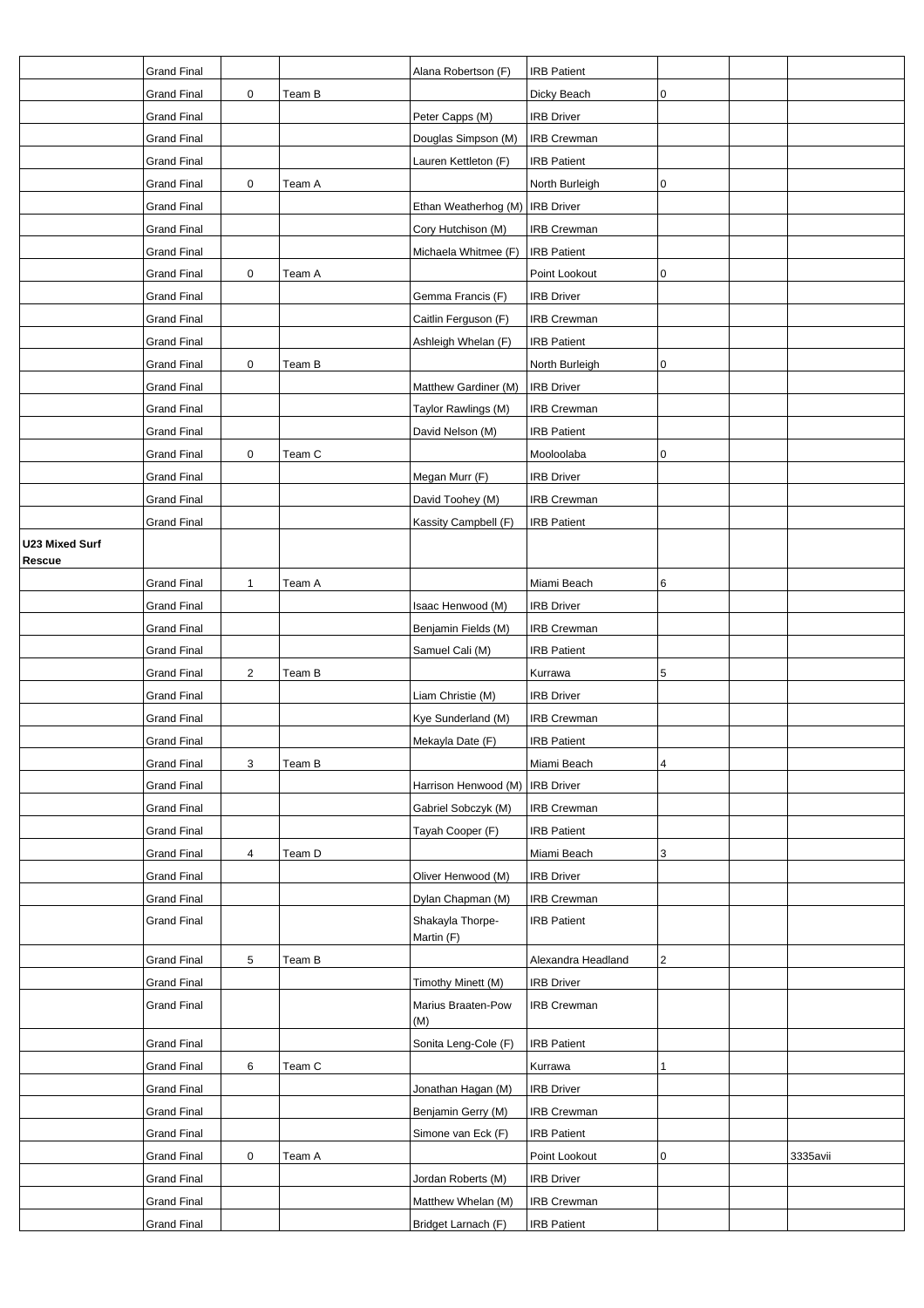|                       | <b>Grand Final</b> |              |        | Alana Robertson (F)               | <b>IRB Patient</b> |   |          |
|-----------------------|--------------------|--------------|--------|-----------------------------------|--------------------|---|----------|
|                       | <b>Grand Final</b> | $\pmb{0}$    | Team B |                                   | Dicky Beach        | 0 |          |
|                       | <b>Grand Final</b> |              |        | Peter Capps (M)                   | <b>IRB Driver</b>  |   |          |
|                       | <b>Grand Final</b> |              |        | Douglas Simpson (M)               | <b>IRB Crewman</b> |   |          |
|                       | <b>Grand Final</b> |              |        | Lauren Kettleton (F)              | <b>IRB Patient</b> |   |          |
|                       | <b>Grand Final</b> | $\pmb{0}$    | Team A |                                   | North Burleigh     | 0 |          |
|                       | <b>Grand Final</b> |              |        | Ethan Weatherhog (M)   IRB Driver |                    |   |          |
|                       | <b>Grand Final</b> |              |        | Cory Hutchison (M)                | <b>IRB Crewman</b> |   |          |
|                       | <b>Grand Final</b> |              |        | Michaela Whitmee (F)              | <b>IRB Patient</b> |   |          |
|                       | <b>Grand Final</b> | 0            | Team A |                                   | Point Lookout      | 0 |          |
|                       | <b>Grand Final</b> |              |        | Gemma Francis (F)                 | <b>IRB Driver</b>  |   |          |
|                       | <b>Grand Final</b> |              |        | Caitlin Ferguson (F)              | <b>IRB Crewman</b> |   |          |
|                       | <b>Grand Final</b> |              |        | Ashleigh Whelan (F)               | <b>IRB Patient</b> |   |          |
|                       | <b>Grand Final</b> | $\pmb{0}$    | Team B |                                   | North Burleigh     | 0 |          |
|                       | <b>Grand Final</b> |              |        | Matthew Gardiner (M)              | <b>IRB Driver</b>  |   |          |
|                       | <b>Grand Final</b> |              |        | Taylor Rawlings (M)               | <b>IRB Crewman</b> |   |          |
|                       | <b>Grand Final</b> |              |        | David Nelson (M)                  | <b>IRB Patient</b> |   |          |
|                       | <b>Grand Final</b> | $\pmb{0}$    | Team C |                                   | Mooloolaba         | 0 |          |
|                       | <b>Grand Final</b> |              |        | Megan Murr (F)                    | <b>IRB Driver</b>  |   |          |
|                       | <b>Grand Final</b> |              |        | David Toohey (M)                  | <b>IRB Crewman</b> |   |          |
|                       | <b>Grand Final</b> |              |        | Kassity Campbell (F)              | <b>IRB Patient</b> |   |          |
| <b>U23 Mixed Surf</b> |                    |              |        |                                   |                    |   |          |
| Rescue                |                    |              |        |                                   |                    |   |          |
|                       | <b>Grand Final</b> | $\mathbf{1}$ | Team A |                                   | Miami Beach        | 6 |          |
|                       | <b>Grand Final</b> |              |        | Isaac Henwood (M)                 | <b>IRB Driver</b>  |   |          |
|                       | <b>Grand Final</b> |              |        | Benjamin Fields (M)               | <b>IRB Crewman</b> |   |          |
|                       | <b>Grand Final</b> |              |        | Samuel Cali (M)                   | <b>IRB Patient</b> |   |          |
|                       | <b>Grand Final</b> | $\sqrt{2}$   | Team B |                                   | Kurrawa            | 5 |          |
|                       | <b>Grand Final</b> |              |        | Liam Christie (M)                 | <b>IRB Driver</b>  |   |          |
|                       | <b>Grand Final</b> |              |        | Kye Sunderland (M)                | <b>IRB Crewman</b> |   |          |
|                       | <b>Grand Final</b> |              |        | Mekayla Date (F)                  | <b>IRB Patient</b> |   |          |
|                       | <b>Grand Final</b> | 3            | Team B |                                   | Miami Beach        | 4 |          |
|                       | <b>Grand Final</b> |              |        | Harrison Henwood (M)              | <b>IRB Driver</b>  |   |          |
|                       | <b>Grand Final</b> |              |        | Gabriel Sobczyk (M)               | <b>IRB Crewman</b> |   |          |
|                       | <b>Grand Final</b> |              |        | Tayah Cooper (F)                  | <b>IRB Patient</b> |   |          |
|                       | <b>Grand Final</b> | 4            | Team D |                                   | Miami Beach        | 3 |          |
|                       | <b>Grand Final</b> |              |        | Oliver Henwood (M)                | <b>IRB</b> Driver  |   |          |
|                       | Grand Final        |              |        | Dylan Chapman (M)                 | <b>IRB Crewman</b> |   |          |
|                       | <b>Grand Final</b> |              |        | Shakayla Thorpe-<br>Martin (F)    | <b>IRB Patient</b> |   |          |
|                       | <b>Grand Final</b> | 5            | Team B |                                   | Alexandra Headland | 2 |          |
|                       | <b>Grand Final</b> |              |        | Timothy Minett (M)                | <b>IRB Driver</b>  |   |          |
|                       | <b>Grand Final</b> |              |        | Marius Braaten-Pow<br>(M)         | <b>IRB Crewman</b> |   |          |
|                       | <b>Grand Final</b> |              |        | Sonita Leng-Cole (F)              | <b>IRB Patient</b> |   |          |
|                       | <b>Grand Final</b> | 6            | Team C |                                   | Kurrawa            | 1 |          |
|                       | <b>Grand Final</b> |              |        | Jonathan Hagan (M)                | <b>IRB Driver</b>  |   |          |
|                       | <b>Grand Final</b> |              |        | Benjamin Gerry (M)                | <b>IRB Crewman</b> |   |          |
|                       | <b>Grand Final</b> |              |        | Simone van Eck (F)                | <b>IRB Patient</b> |   |          |
|                       | <b>Grand Final</b> | 0            | Team A |                                   | Point Lookout      | 0 | 3335avii |
|                       | <b>Grand Final</b> |              |        | Jordan Roberts (M)                | <b>IRB Driver</b>  |   |          |
|                       | <b>Grand Final</b> |              |        | Matthew Whelan (M)                | <b>IRB Crewman</b> |   |          |
|                       | <b>Grand Final</b> |              |        | Bridget Larnach (F)               | <b>IRB Patient</b> |   |          |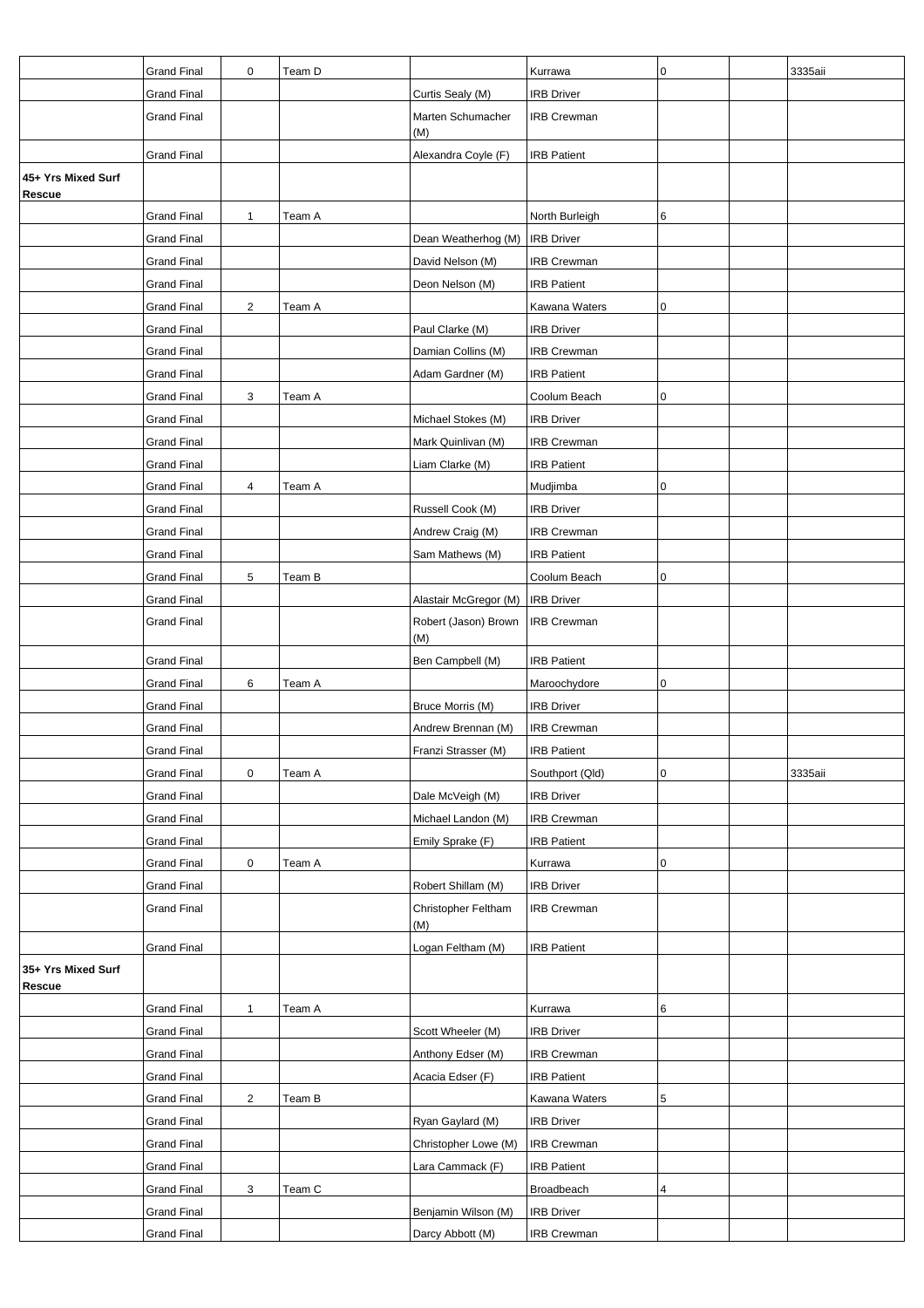|                                     | <b>Grand Final</b> | $\mathbf 0$    | Team D |                             | Kurrawa            | 0           | 3335aii |
|-------------------------------------|--------------------|----------------|--------|-----------------------------|--------------------|-------------|---------|
|                                     | <b>Grand Final</b> |                |        | Curtis Sealy (M)            | <b>IRB Driver</b>  |             |         |
|                                     | <b>Grand Final</b> |                |        | Marten Schumacher<br>(M)    | <b>IRB Crewman</b> |             |         |
|                                     | <b>Grand Final</b> |                |        | Alexandra Coyle (F)         | <b>IRB Patient</b> |             |         |
| 45+ Yrs Mixed Surf<br><b>Rescue</b> |                    |                |        |                             |                    |             |         |
|                                     | <b>Grand Final</b> | $\mathbf{1}$   | Team A |                             | North Burleigh     | 6           |         |
|                                     | <b>Grand Final</b> |                |        | Dean Weatherhog (M)         | <b>IRB Driver</b>  |             |         |
|                                     | <b>Grand Final</b> |                |        | David Nelson (M)            | <b>IRB Crewman</b> |             |         |
|                                     | <b>Grand Final</b> |                |        | Deon Nelson (M)             | <b>IRB Patient</b> |             |         |
|                                     | <b>Grand Final</b> | $\overline{2}$ | Team A |                             | Kawana Waters      | 0           |         |
|                                     | <b>Grand Final</b> |                |        | Paul Clarke (M)             | <b>IRB Driver</b>  |             |         |
|                                     | <b>Grand Final</b> |                |        | Damian Collins (M)          | <b>IRB Crewman</b> |             |         |
|                                     | <b>Grand Final</b> |                |        | Adam Gardner (M)            | <b>IRB Patient</b> |             |         |
|                                     | <b>Grand Final</b> | 3              | Team A |                             | Coolum Beach       | 0           |         |
|                                     | Grand Final        |                |        | Michael Stokes (M)          | <b>IRB</b> Driver  |             |         |
|                                     | <b>Grand Final</b> |                |        | Mark Quinlivan (M)          | <b>IRB Crewman</b> |             |         |
|                                     | <b>Grand Final</b> |                |        | Liam Clarke (M)             | <b>IRB Patient</b> |             |         |
|                                     | <b>Grand Final</b> | 4              | Team A |                             | Mudjimba           | 0           |         |
|                                     | <b>Grand Final</b> |                |        | Russell Cook (M)            | <b>IRB Driver</b>  |             |         |
|                                     | <b>Grand Final</b> |                |        | Andrew Craig (M)            | <b>IRB Crewman</b> |             |         |
|                                     | <b>Grand Final</b> |                |        | Sam Mathews (M)             | <b>IRB Patient</b> |             |         |
|                                     | Grand Final        | 5              | Team B |                             | Coolum Beach       | 0           |         |
|                                     | <b>Grand Final</b> |                |        | Alastair McGregor (M)       | <b>IRB Driver</b>  |             |         |
|                                     | <b>Grand Final</b> |                |        | Robert (Jason) Brown<br>(M) | <b>IRB Crewman</b> |             |         |
|                                     | <b>Grand Final</b> |                |        | Ben Campbell (M)            | <b>IRB Patient</b> |             |         |
|                                     | <b>Grand Final</b> | 6              | Team A |                             | Maroochydore       | $\mathbf 0$ |         |
|                                     | <b>Grand Final</b> |                |        | Bruce Morris (M)            | <b>IRB Driver</b>  |             |         |
|                                     | <b>Grand Final</b> |                |        | Andrew Brennan (M)          | <b>IRB Crewman</b> |             |         |
|                                     | <b>Grand Final</b> |                |        | Franzi Strasser (M)         | <b>IRB Patient</b> |             |         |
|                                     | <b>Grand Final</b> | 0              | Team A |                             | Southport (Qld)    | $\mathbf 0$ | 3335aii |
|                                     | <b>Grand Final</b> |                |        | Dale McVeigh (M)            | <b>IRB Driver</b>  |             |         |
|                                     | <b>Grand Final</b> |                |        | Michael Landon (M)          | <b>IRB Crewman</b> |             |         |
|                                     | <b>Grand Final</b> |                |        | Emily Sprake (F)            | <b>IRB Patient</b> |             |         |
|                                     | <b>Grand Final</b> | $\mathbf 0$    | Team A |                             | Kurrawa            | 0           |         |
|                                     | <b>Grand Final</b> |                |        | Robert Shillam (M)          | <b>IRB Driver</b>  |             |         |
|                                     | <b>Grand Final</b> |                |        | Christopher Feltham<br>(M)  | <b>IRB Crewman</b> |             |         |
|                                     | <b>Grand Final</b> |                |        | Logan Feltham (M)           | <b>IRB Patient</b> |             |         |
| 35+ Yrs Mixed Surf<br>Rescue        |                    |                |        |                             |                    |             |         |
|                                     | <b>Grand Final</b> | $\mathbf{1}$   | Team A |                             | Kurrawa            | 6           |         |
|                                     | <b>Grand Final</b> |                |        | Scott Wheeler (M)           | <b>IRB Driver</b>  |             |         |
|                                     | <b>Grand Final</b> |                |        | Anthony Edser (M)           | <b>IRB Crewman</b> |             |         |
|                                     | <b>Grand Final</b> |                |        | Acacia Edser (F)            | <b>IRB Patient</b> |             |         |
|                                     | <b>Grand Final</b> | $\overline{2}$ | Team B |                             | Kawana Waters      | 5           |         |
|                                     | <b>Grand Final</b> |                |        | Ryan Gaylard (M)            | <b>IRB Driver</b>  |             |         |
|                                     | <b>Grand Final</b> |                |        | Christopher Lowe (M)        | <b>IRB Crewman</b> |             |         |
|                                     | <b>Grand Final</b> |                |        | Lara Cammack (F)            | <b>IRB Patient</b> |             |         |
|                                     | <b>Grand Final</b> | 3              | Team C |                             | Broadbeach         | 4           |         |
|                                     | <b>Grand Final</b> |                |        | Benjamin Wilson (M)         | <b>IRB Driver</b>  |             |         |
|                                     | <b>Grand Final</b> |                |        | Darcy Abbott (M)            | <b>IRB Crewman</b> |             |         |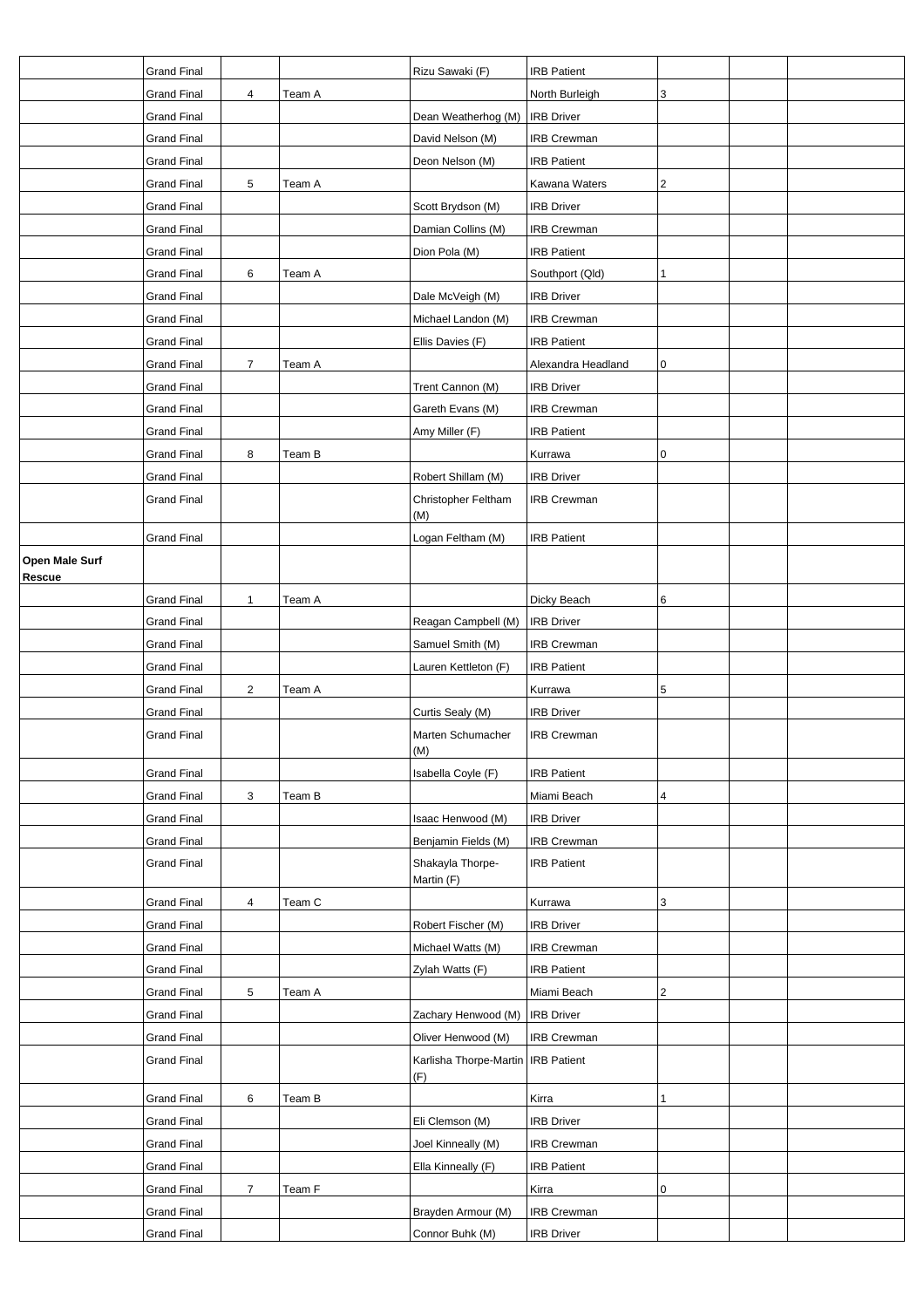|                                 | <b>Grand Final</b> |                |        | Rizu Sawaki (F)                             | <b>IRB Patient</b> |                         |  |
|---------------------------------|--------------------|----------------|--------|---------------------------------------------|--------------------|-------------------------|--|
|                                 | <b>Grand Final</b> | 4              | Team A |                                             | North Burleigh     | 3                       |  |
|                                 | <b>Grand Final</b> |                |        | Dean Weatherhog (M)                         | <b>IRB Driver</b>  |                         |  |
|                                 | <b>Grand Final</b> |                |        | David Nelson (M)                            | <b>IRB Crewman</b> |                         |  |
|                                 | <b>Grand Final</b> |                |        | Deon Nelson (M)                             | <b>IRB Patient</b> |                         |  |
|                                 | <b>Grand Final</b> | 5              | Team A |                                             | Kawana Waters      | $\overline{\mathbf{c}}$ |  |
|                                 | <b>Grand Final</b> |                |        | Scott Brydson (M)                           | <b>IRB Driver</b>  |                         |  |
|                                 | <b>Grand Final</b> |                |        | Damian Collins (M)                          | <b>IRB Crewman</b> |                         |  |
|                                 | <b>Grand Final</b> |                |        | Dion Pola (M)                               | <b>IRB Patient</b> |                         |  |
|                                 | <b>Grand Final</b> | 6              | Team A |                                             | Southport (Qld)    | 1                       |  |
|                                 | <b>Grand Final</b> |                |        | Dale McVeigh (M)                            | <b>IRB Driver</b>  |                         |  |
|                                 | <b>Grand Final</b> |                |        | Michael Landon (M)                          | <b>IRB Crewman</b> |                         |  |
|                                 | <b>Grand Final</b> |                |        | Ellis Davies (F)                            | <b>IRB Patient</b> |                         |  |
|                                 | <b>Grand Final</b> | $\overline{7}$ | Team A |                                             | Alexandra Headland | 0                       |  |
|                                 | <b>Grand Final</b> |                |        | Trent Cannon (M)                            | <b>IRB Driver</b>  |                         |  |
|                                 | <b>Grand Final</b> |                |        | Gareth Evans (M)                            | <b>IRB Crewman</b> |                         |  |
|                                 | <b>Grand Final</b> |                |        | Amy Miller (F)                              | <b>IRB Patient</b> |                         |  |
|                                 | <b>Grand Final</b> | 8              | Team B |                                             | Kurrawa            | 0                       |  |
|                                 | <b>Grand Final</b> |                |        | Robert Shillam (M)                          | <b>IRB Driver</b>  |                         |  |
|                                 | <b>Grand Final</b> |                |        | Christopher Feltham                         | <b>IRB Crewman</b> |                         |  |
|                                 |                    |                |        | (M)                                         |                    |                         |  |
|                                 | <b>Grand Final</b> |                |        | Logan Feltham (M)                           | <b>IRB Patient</b> |                         |  |
| Open Male Surf<br><b>Rescue</b> |                    |                |        |                                             |                    |                         |  |
|                                 | <b>Grand Final</b> | 1              | Team A |                                             | Dicky Beach        | 6                       |  |
|                                 | <b>Grand Final</b> |                |        | Reagan Campbell (M)                         | <b>IRB Driver</b>  |                         |  |
|                                 | <b>Grand Final</b> |                |        | Samuel Smith (M)                            | <b>IRB Crewman</b> |                         |  |
|                                 | <b>Grand Final</b> |                |        | Lauren Kettleton (F)                        | <b>IRB Patient</b> |                         |  |
|                                 | <b>Grand Final</b> | $\overline{2}$ | Team A |                                             | Kurrawa            | 5                       |  |
|                                 | <b>Grand Final</b> |                |        | Curtis Sealy (M)                            | <b>IRB Driver</b>  |                         |  |
|                                 | <b>Grand Final</b> |                |        | Marten Schumacher                           | <b>IRB Crewman</b> |                         |  |
|                                 |                    |                |        | (M)                                         |                    |                         |  |
|                                 | <b>Grand Final</b> |                |        | Isabella Coyle (F)                          | <b>IRB Patient</b> |                         |  |
|                                 | <b>Grand Final</b> | 3              | Team B |                                             | Miami Beach        | 4                       |  |
|                                 | <b>Grand Final</b> |                |        | Isaac Henwood (M)                           | <b>IRB Driver</b>  |                         |  |
|                                 | <b>Grand Final</b> |                |        | Benjamin Fields (M)                         | <b>IRB Crewman</b> |                         |  |
|                                 | <b>Grand Final</b> |                |        | Shakayla Thorpe-<br>Martin (F)              | <b>IRB Patient</b> |                         |  |
|                                 | <b>Grand Final</b> | 4              | Team C |                                             | Kurrawa            | 3                       |  |
|                                 | <b>Grand Final</b> |                |        | Robert Fischer (M)                          | <b>IRB Driver</b>  |                         |  |
|                                 | <b>Grand Final</b> |                |        | Michael Watts (M)                           | <b>IRB Crewman</b> |                         |  |
|                                 | <b>Grand Final</b> |                |        | Zylah Watts (F)                             | <b>IRB Patient</b> |                         |  |
|                                 | <b>Grand Final</b> | 5              | Team A |                                             | Miami Beach        | 2                       |  |
|                                 | <b>Grand Final</b> |                |        | Zachary Henwood (M)                         | <b>IRB</b> Driver  |                         |  |
|                                 | <b>Grand Final</b> |                |        | Oliver Henwood (M)                          | <b>IRB Crewman</b> |                         |  |
|                                 | <b>Grand Final</b> |                |        | Karlisha Thorpe-Martin   IRB Patient<br>(F) |                    |                         |  |
|                                 | <b>Grand Final</b> | 6              | Team B |                                             | Kirra              | 1                       |  |
|                                 | <b>Grand Final</b> |                |        | Eli Clemson (M)                             | <b>IRB Driver</b>  |                         |  |
|                                 | <b>Grand Final</b> |                |        | Joel Kinneally (M)                          | <b>IRB Crewman</b> |                         |  |
|                                 | <b>Grand Final</b> |                |        | Ella Kinneally (F)                          | <b>IRB Patient</b> |                         |  |
|                                 | <b>Grand Final</b> | $\overline{7}$ | Team F |                                             | Kirra              | 0                       |  |
|                                 | <b>Grand Final</b> |                |        | Brayden Armour (M)                          | <b>IRB Crewman</b> |                         |  |
|                                 | <b>Grand Final</b> |                |        | Connor Buhk (M)                             | <b>IRB Driver</b>  |                         |  |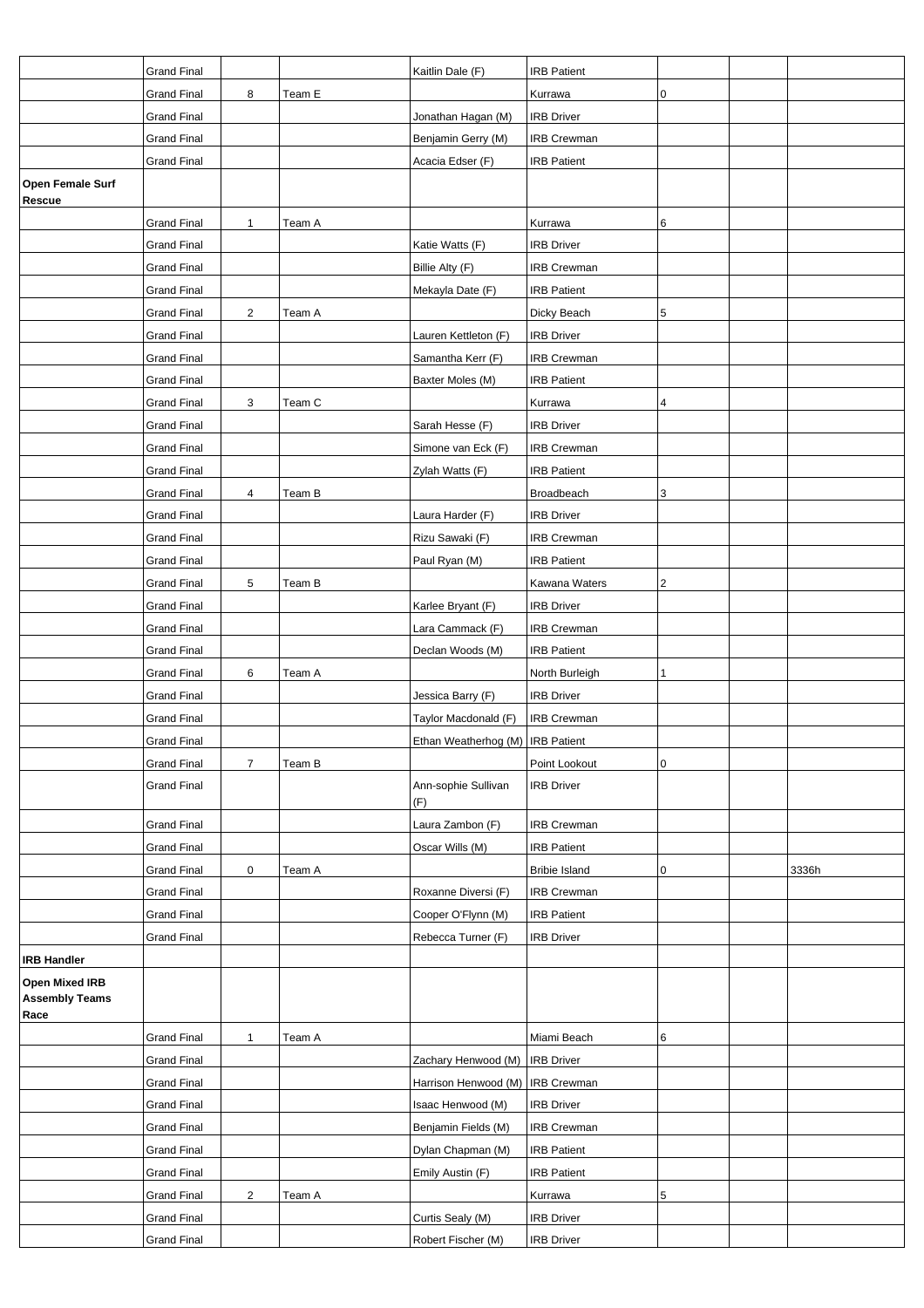|                                                 | <b>Grand Final</b> |                |        | Kaitlin Dale (F)                   | <b>IRB Patient</b>   |           |       |
|-------------------------------------------------|--------------------|----------------|--------|------------------------------------|----------------------|-----------|-------|
|                                                 | <b>Grand Final</b> | 8              | Team E |                                    | Kurrawa              | 0         |       |
|                                                 | <b>Grand Final</b> |                |        | Jonathan Hagan (M)                 | <b>IRB Driver</b>    |           |       |
|                                                 | <b>Grand Final</b> |                |        | Benjamin Gerry (M)                 | IRB Crewman          |           |       |
|                                                 | <b>Grand Final</b> |                |        | Acacia Edser (F)                   | <b>IRB Patient</b>   |           |       |
| <b>Open Female Surf</b>                         |                    |                |        |                                    |                      |           |       |
| Rescue                                          |                    |                |        |                                    |                      |           |       |
|                                                 | <b>Grand Final</b> | $\mathbf{1}$   | Team A |                                    | Kurrawa              | 6         |       |
|                                                 | <b>Grand Final</b> |                |        | Katie Watts (F)                    | <b>IRB Driver</b>    |           |       |
|                                                 | <b>Grand Final</b> |                |        | Billie Alty (F)                    | <b>IRB Crewman</b>   |           |       |
|                                                 | <b>Grand Final</b> |                |        | Mekayla Date (F)                   | <b>IRB Patient</b>   |           |       |
|                                                 | <b>Grand Final</b> | $\overline{2}$ | Team A |                                    | Dicky Beach          | 5         |       |
|                                                 | <b>Grand Final</b> |                |        | Lauren Kettleton (F)               | <b>IRB Driver</b>    |           |       |
|                                                 | <b>Grand Final</b> |                |        | Samantha Kerr (F)                  | <b>IRB Crewman</b>   |           |       |
|                                                 | <b>Grand Final</b> |                |        | Baxter Moles (M)                   | <b>IRB Patient</b>   |           |       |
|                                                 | <b>Grand Final</b> | 3              | Team C |                                    | Kurrawa              | 4         |       |
|                                                 | <b>Grand Final</b> |                |        | Sarah Hesse (F)                    | <b>IRB Driver</b>    |           |       |
|                                                 | <b>Grand Final</b> |                |        | Simone van Eck (F)                 | <b>IRB Crewman</b>   |           |       |
|                                                 | <b>Grand Final</b> |                |        | Zylah Watts (F)                    | <b>IRB Patient</b>   |           |       |
|                                                 | <b>Grand Final</b> | 4              | Team B |                                    | Broadbeach           | 3         |       |
|                                                 | <b>Grand Final</b> |                |        | Laura Harder (F)                   | <b>IRB Driver</b>    |           |       |
|                                                 | <b>Grand Final</b> |                |        | Rizu Sawaki (F)                    | <b>IRB Crewman</b>   |           |       |
|                                                 | <b>Grand Final</b> |                |        | Paul Ryan (M)                      | <b>IRB Patient</b>   |           |       |
|                                                 | <b>Grand Final</b> | 5              | Team B |                                    | Kawana Waters        | 2         |       |
|                                                 | <b>Grand Final</b> |                |        | Karlee Bryant (F)                  | <b>IRB Driver</b>    |           |       |
|                                                 | <b>Grand Final</b> |                |        | Lara Cammack (F)                   | <b>IRB Crewman</b>   |           |       |
|                                                 | <b>Grand Final</b> |                |        | Declan Woods (M)                   | <b>IRB Patient</b>   |           |       |
|                                                 | <b>Grand Final</b> | 6              | Team A |                                    | North Burleigh       | 1         |       |
|                                                 | <b>Grand Final</b> |                |        | Jessica Barry (F)                  | <b>IRB Driver</b>    |           |       |
|                                                 | <b>Grand Final</b> |                |        | Taylor Macdonald (F)               | <b>IRB Crewman</b>   |           |       |
|                                                 | <b>Grand Final</b> |                |        | Ethan Weatherhog (M)   IRB Patient |                      |           |       |
|                                                 | <b>Grand Final</b> | $\overline{7}$ | Team B |                                    | Point Lookout        | $\pmb{0}$ |       |
|                                                 | <b>Grand Final</b> |                |        | Ann-sophie Sullivan                | <b>IRB Driver</b>    |           |       |
|                                                 |                    |                |        | (F)                                |                      |           |       |
|                                                 | <b>Grand Final</b> |                |        | Laura Zambon (F)                   | IRB Crewman          |           |       |
|                                                 | <b>Grand Final</b> |                |        | Oscar Wills (M)                    | <b>IRB Patient</b>   |           |       |
|                                                 | <b>Grand Final</b> | 0              | Team A |                                    | <b>Bribie Island</b> | 0         | 3336h |
|                                                 | <b>Grand Final</b> |                |        | Roxanne Diversi (F)                | <b>IRB Crewman</b>   |           |       |
|                                                 | <b>Grand Final</b> |                |        | Cooper O'Flynn (M)                 | <b>IRB Patient</b>   |           |       |
|                                                 | <b>Grand Final</b> |                |        | Rebecca Turner (F)                 | <b>IRB Driver</b>    |           |       |
| <b>IRB Handler</b>                              |                    |                |        |                                    |                      |           |       |
| Open Mixed IRB<br><b>Assembly Teams</b><br>Race |                    |                |        |                                    |                      |           |       |
|                                                 | <b>Grand Final</b> | $\mathbf{1}$   | Team A |                                    | Miami Beach          | 6         |       |
|                                                 | <b>Grand Final</b> |                |        | Zachary Henwood (M)                | <b>IRB</b> Driver    |           |       |
|                                                 | <b>Grand Final</b> |                |        | Harrison Henwood (M)               | <b>IRB Crewman</b>   |           |       |
|                                                 | <b>Grand Final</b> |                |        | Isaac Henwood (M)                  | <b>IRB Driver</b>    |           |       |
|                                                 | <b>Grand Final</b> |                |        | Benjamin Fields (M)                | <b>IRB Crewman</b>   |           |       |
|                                                 | <b>Grand Final</b> |                |        | Dylan Chapman (M)                  | <b>IRB</b> Patient   |           |       |
|                                                 | <b>Grand Final</b> |                |        | Emily Austin (F)                   | <b>IRB Patient</b>   |           |       |
|                                                 | <b>Grand Final</b> | $\overline{c}$ | Team A |                                    | Kurrawa              | 5         |       |
|                                                 | <b>Grand Final</b> |                |        | Curtis Sealy (M)                   | <b>IRB Driver</b>    |           |       |
|                                                 | <b>Grand Final</b> |                |        | Robert Fischer (M)                 | <b>IRB Driver</b>    |           |       |